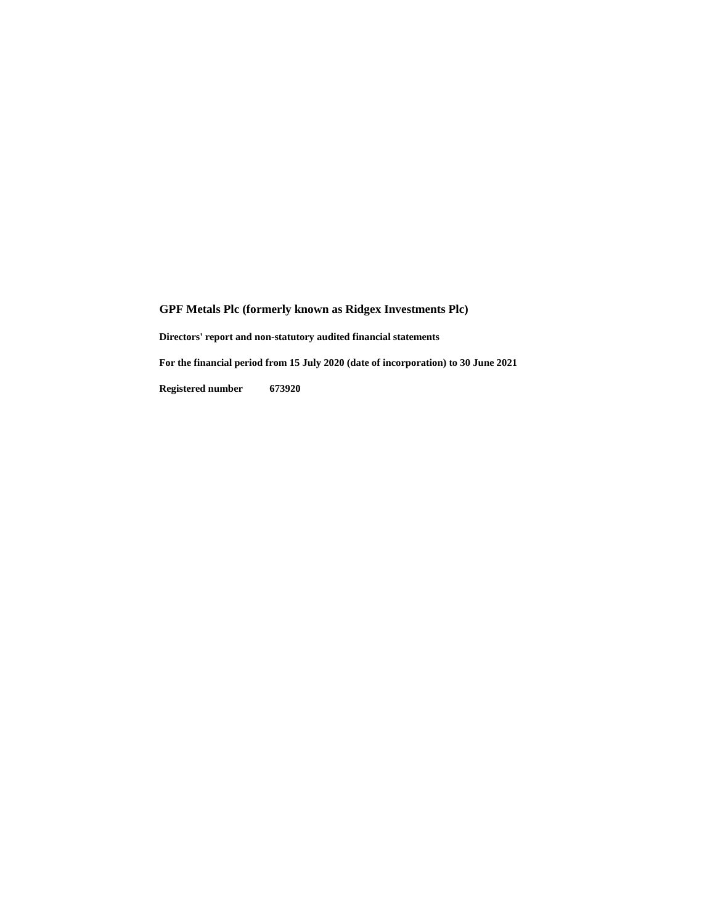**GPF Metals Plc (formerly known as Ridgex Investments Plc) Directors' report and non-statutory audited financial statements For the financial period from 15 July 2020 (date of incorporation) to 30 June 2021**

**Registered number 673920**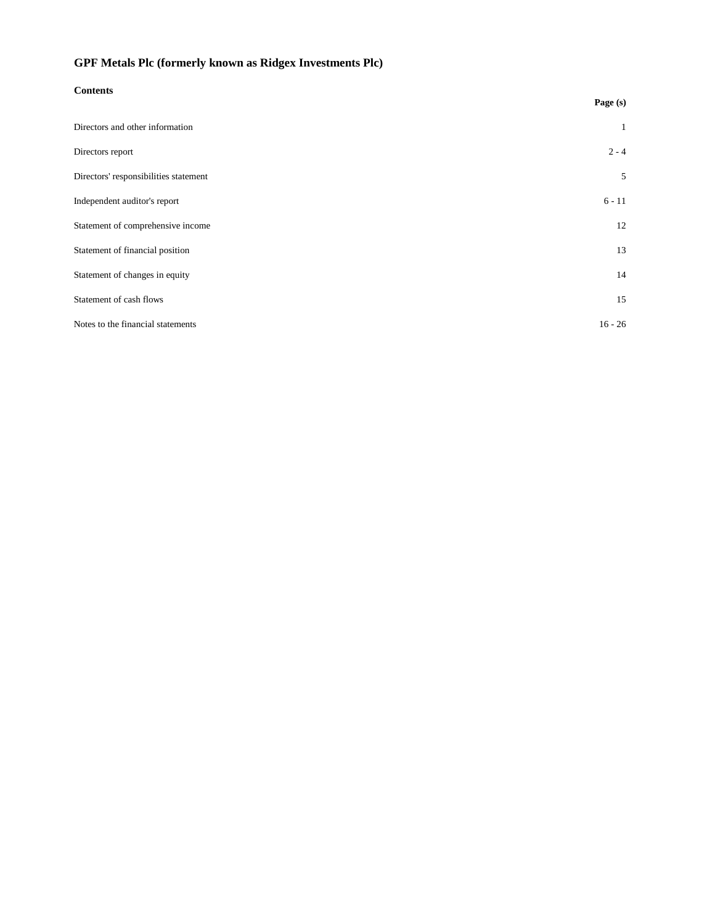| <b>Contents</b>                       |              |
|---------------------------------------|--------------|
|                                       | Page (s)     |
| Directors and other information       | $\mathbf{1}$ |
| Directors report                      | $2 - 4$      |
| Directors' responsibilities statement | 5            |
| Independent auditor's report          | $6 - 11$     |
| Statement of comprehensive income     | 12           |
| Statement of financial position       | 13           |
| Statement of changes in equity        | 14           |
| Statement of cash flows               | 15           |
| Notes to the financial statements     | $16 - 26$    |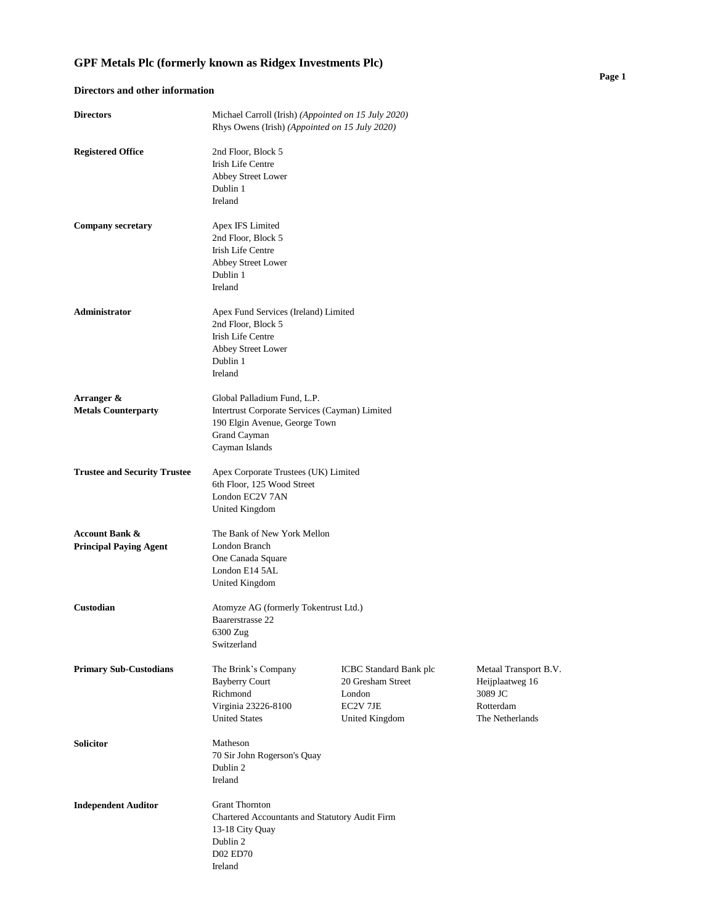## **Directors and other information**

| <b>Directors</b>                                           | Michael Carroll (Irish) (Appointed on 15 July 2020)<br>Rhys Owens (Irish) (Appointed on 15 July 2020)                                            |                                                                                            |                                                                                     |
|------------------------------------------------------------|--------------------------------------------------------------------------------------------------------------------------------------------------|--------------------------------------------------------------------------------------------|-------------------------------------------------------------------------------------|
| <b>Registered Office</b>                                   | 2nd Floor, Block 5<br>Irish Life Centre<br>Abbey Street Lower<br>Dublin 1<br>Ireland                                                             |                                                                                            |                                                                                     |
| <b>Company secretary</b>                                   | Apex IFS Limited<br>2nd Floor, Block 5<br><b>Irish Life Centre</b><br>Abbey Street Lower<br>Dublin 1<br>Ireland                                  |                                                                                            |                                                                                     |
| <b>Administrator</b>                                       | Apex Fund Services (Ireland) Limited<br>2nd Floor, Block 5<br><b>Irish Life Centre</b><br>Abbey Street Lower<br>Dublin 1<br>Ireland              |                                                                                            |                                                                                     |
| Arranger &<br><b>Metals Counterparty</b>                   | Global Palladium Fund, L.P.<br>Intertrust Corporate Services (Cayman) Limited<br>190 Elgin Avenue, George Town<br>Grand Cayman<br>Cayman Islands |                                                                                            |                                                                                     |
| <b>Trustee and Security Trustee</b>                        | Apex Corporate Trustees (UK) Limited<br>6th Floor, 125 Wood Street<br>London EC2V 7AN<br>United Kingdom                                          |                                                                                            |                                                                                     |
| <b>Account Bank &amp;</b><br><b>Principal Paying Agent</b> | The Bank of New York Mellon<br>London Branch<br>One Canada Square<br>London E14 5AL<br>United Kingdom                                            |                                                                                            |                                                                                     |
| Custodian                                                  | Atomyze AG (formerly Tokentrust Ltd.)<br>Baarerstrasse 22<br>6300 Zug<br>Switzerland                                                             |                                                                                            |                                                                                     |
| <b>Primary Sub-Custodians</b>                              | The Brink's Company<br><b>Bayberry Court</b><br>Richmond<br>Virginia 23226-8100<br><b>United States</b>                                          | <b>ICBC</b> Standard Bank plc<br>20 Gresham Street<br>London<br>EC2V 7JE<br>United Kingdom | Metaal Transport B.V.<br>Heijplaatweg 16<br>3089 JC<br>Rotterdam<br>The Netherlands |
| <b>Solicitor</b>                                           | Matheson<br>70 Sir John Rogerson's Quay<br>Dublin 2<br>Ireland                                                                                   |                                                                                            |                                                                                     |
| <b>Independent Auditor</b>                                 | <b>Grant Thornton</b><br>Chartered Accountants and Statutory Audit Firm<br>13-18 City Quay<br>Dublin 2<br><b>D02 ED70</b><br>Ireland             |                                                                                            |                                                                                     |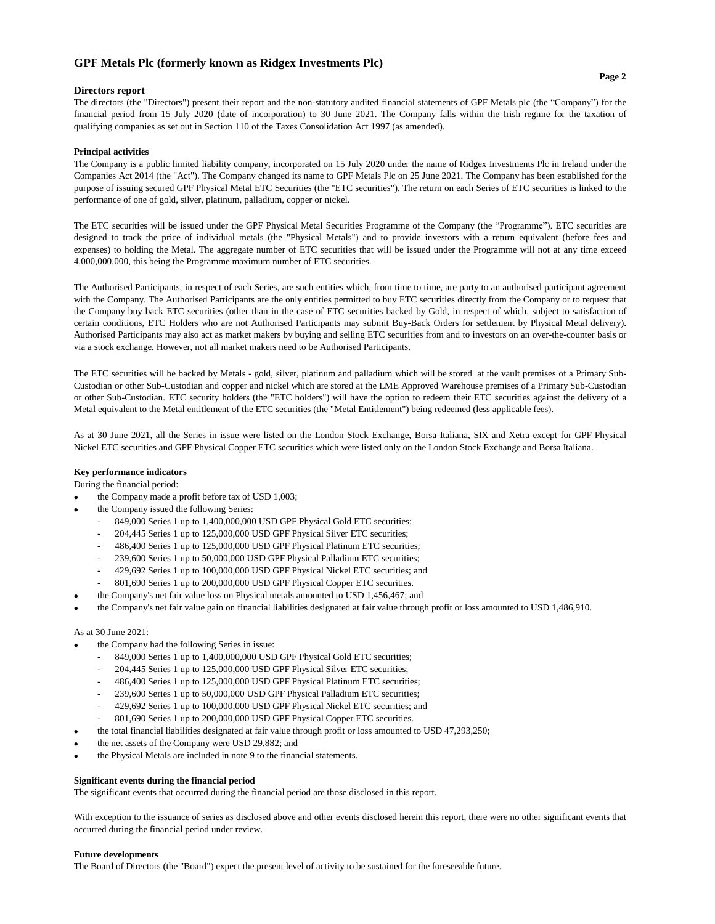#### **Directors report**

The directors (the "Directors") present their report and the non-statutory audited financial statements of GPF Metals plc (the "Company") for the financial period from 15 July 2020 (date of incorporation) to 30 June 2021. The Company falls within the Irish regime for the taxation of qualifying companies as set out in Section 110 of the Taxes Consolidation Act 1997 (as amended).

#### **Principal activities**

The Company is a public limited liability company, incorporated on 15 July 2020 under the name of Ridgex Investments Plc in Ireland under the Companies Act 2014 (the "Act"). The Company changed its name to GPF Metals Plc on 25 June 2021. The Company has been established for the purpose of issuing secured GPF Physical Metal ETC Securities (the "ETC securities"). The return on each Series of ETC securities is linked to the performance of one of gold, silver, platinum, palladium, copper or nickel.

The ETC securities will be issued under the GPF Physical Metal Securities Programme of the Company (the "Programme"). ETC securities are designed to track the price of individual metals (the "Physical Metals") and to provide investors with a return equivalent (before fees and expenses) to holding the Metal. The aggregate number of ETC securities that will be issued under the Programme will not at any time exceed 4,000,000,000, this being the Programme maximum number of ETC securities.

The Authorised Participants, in respect of each Series, are such entities which, from time to time, are party to an authorised participant agreement with the Company. The Authorised Participants are the only entities permitted to buy ETC securities directly from the Company or to request that the Company buy back ETC securities (other than in the case of ETC securities backed by Gold, in respect of which, subject to satisfaction of certain conditions, ETC Holders who are not Authorised Participants may submit Buy-Back Orders for settlement by Physical Metal delivery). Authorised Participants may also act as market makers by buying and selling ETC securities from and to investors on an over-the-counter basis or via a stock exchange. However, not all market makers need to be Authorised Participants.

The ETC securities will be backed by Metals - gold, silver, platinum and palladium which will be stored at the vault premises of a Primary Sub-Custodian or other Sub-Custodian and copper and nickel which are stored at the LME Approved Warehouse premises of a Primary Sub-Custodian or other Sub-Custodian. ETC security holders (the "ETC holders") will have the option to redeem their ETC securities against the delivery of a Metal equivalent to the Metal entitlement of the ETC securities (the "Metal Entitlement") being redeemed (less applicable fees).

As at 30 June 2021, all the Series in issue were listed on the London Stock Exchange, Borsa Italiana, SIX and Xetra except for GPF Physical Nickel ETC securities and GPF Physical Copper ETC securities which were listed only on the London Stock Exchange and Borsa Italiana.

#### **Key performance indicators**

During the financial period:

- the Company made a profit before tax of USD 1,003;
- the Company issued the following Series:
	- 849,000 Series 1 up to 1,400,000,000 USD GPF Physical Gold ETC securities;
	- 204,445 Series 1 up to 125,000,000 USD GPF Physical Silver ETC securities;
	- 486,400 Series 1 up to 125,000,000 USD GPF Physical Platinum ETC securities;
	- 239,600 Series 1 up to 50,000,000 USD GPF Physical Palladium ETC securities;
	- 429,692 Series 1 up to 100,000,000 USD GPF Physical Nickel ETC securities; and
	- 801,690 Series 1 up to 200,000,000 USD GPF Physical Copper ETC securities.
	- the Company's net fair value loss on Physical metals amounted to USD 1,456,467; and
- the Company's net fair value gain on financial liabilities designated at fair value through profit or loss amounted to USD 1,486,910.

#### As at 30 June 2021:

•

- the Company had the following Series in issue:
	- 849,000 Series 1 up to 1,400,000,000 USD GPF Physical Gold ETC securities;
	- 204,445 Series 1 up to 125,000,000 USD GPF Physical Silver ETC securities;
	- 486,400 Series 1 up to 125,000,000 USD GPF Physical Platinum ETC securities;
	- 239,600 Series 1 up to 50,000,000 USD GPF Physical Palladium ETC securities;
	- 429,692 Series 1 up to 100,000,000 USD GPF Physical Nickel ETC securities; and
	- 801,690 Series 1 up to 200,000,000 USD GPF Physical Copper ETC securities.
- the total financial liabilities designated at fair value through profit or loss amounted to USD 47,293,250;
- the net assets of the Company were USD 29,882; and
- the Physical Metals are included in note 9 to the financial statements.

#### **Significant events during the financial period**

The significant events that occurred during the financial period are those disclosed in this report.

With exception to the issuance of series as disclosed above and other events disclosed herein this report, there were no other significant events that occurred during the financial period under review.

#### **Future developments**

The Board of Directors (the "Board") expect the present level of activity to be sustained for the foreseeable future.

#### **Page 2**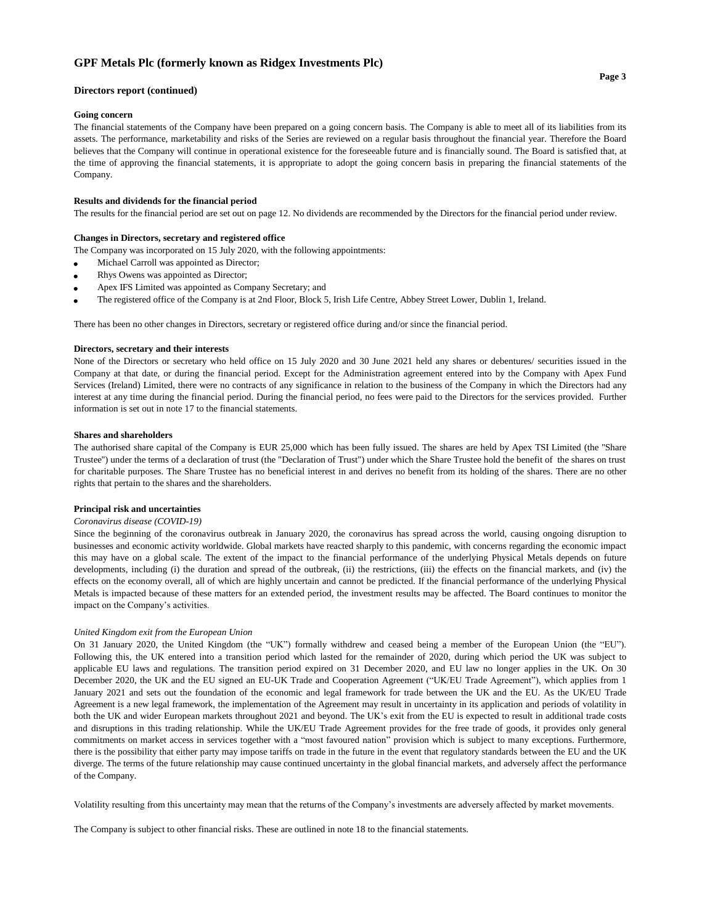#### **Directors report (continued)**

#### **Going concern**

The financial statements of the Company have been prepared on a going concern basis. The Company is able to meet all of its liabilities from its assets. The performance, marketability and risks of the Series are reviewed on a regular basis throughout the financial year. Therefore the Board believes that the Company will continue in operational existence for the foreseeable future and is financially sound. The Board is satisfied that, at the time of approving the financial statements, it is appropriate to adopt the going concern basis in preparing the financial statements of the Company.

#### **Results and dividends for the financial period**

The results for the financial period are set out on page 12. No dividends are recommended by the Directors for the financial period under review.

#### **Changes in Directors, secretary and registered office**

The Company was incorporated on 15 July 2020, with the following appointments:

- Michael Carroll was appointed as Director;
- Rhys Owens was appointed as Director;
- Apex IFS Limited was appointed as Company Secretary; and
- The registered office of the Company is at 2nd Floor, Block 5, Irish Life Centre, Abbey Street Lower, Dublin 1, Ireland.

There has been no other changes in Directors, secretary or registered office during and/or since the financial period.

#### **Directors, secretary and their interests**

None of the Directors or secretary who held office on 15 July 2020 and 30 June 2021 held any shares or debentures/ securities issued in the Company at that date, or during the financial period. Except for the Administration agreement entered into by the Company with Apex Fund Services (Ireland) Limited, there were no contracts of any significance in relation to the business of the Company in which the Directors had any interest at any time during the financial period. During the financial period, no fees were paid to the Directors for the services provided. Further information is set out in note 17 to the financial statements.

#### **Shares and shareholders**

The authorised share capital of the Company is EUR 25,000 which has been fully issued. The shares are held by Apex TSI Limited (the ''Share Trustee'') under the terms of a declaration of trust (the "Declaration of Trust") under which the Share Trustee hold the benefit of the shares on trust for charitable purposes. The Share Trustee has no beneficial interest in and derives no benefit from its holding of the shares. There are no other rights that pertain to the shares and the shareholders.

#### **Principal risk and uncertainties**

#### *Coronavirus disease (COVID-19)*

Since the beginning of the coronavirus outbreak in January 2020, the coronavirus has spread across the world, causing ongoing disruption to businesses and economic activity worldwide. Global markets have reacted sharply to this pandemic, with concerns regarding the economic impact this may have on a global scale. The extent of the impact to the financial performance of the underlying Physical Metals depends on future developments, including (i) the duration and spread of the outbreak, (ii) the restrictions, (iii) the effects on the financial markets, and (iv) the effects on the economy overall, all of which are highly uncertain and cannot be predicted. If the financial performance of the underlying Physical Metals is impacted because of these matters for an extended period, the investment results may be affected. The Board continues to monitor the impact on the Company's activities.

#### *United Kingdom exit from the European Union*

On 31 January 2020, the United Kingdom (the "UK") formally withdrew and ceased being a member of the European Union (the "EU"). Following this, the UK entered into a transition period which lasted for the remainder of 2020, during which period the UK was subject to applicable EU laws and regulations. The transition period expired on 31 December 2020, and EU law no longer applies in the UK. On 30 December 2020, the UK and the EU signed an EU-UK Trade and Cooperation Agreement ("UK/EU Trade Agreement"), which applies from 1 January 2021 and sets out the foundation of the economic and legal framework for trade between the UK and the EU. As the UK/EU Trade Agreement is a new legal framework, the implementation of the Agreement may result in uncertainty in its application and periods of volatility in both the UK and wider European markets throughout 2021 and beyond. The UK's exit from the EU is expected to result in additional trade costs and disruptions in this trading relationship. While the UK/EU Trade Agreement provides for the free trade of goods, it provides only general commitments on market access in services together with a "most favoured nation" provision which is subject to many exceptions. Furthermore, there is the possibility that either party may impose tariffs on trade in the future in the event that regulatory standards between the EU and the UK diverge. The terms of the future relationship may cause continued uncertainty in the global financial markets, and adversely affect the performance of the Company.

Volatility resulting from this uncertainty may mean that the returns of the Company's investments are adversely affected by market movements.

The Company is subject to other financial risks. These are outlined in note 18 to the financial statements.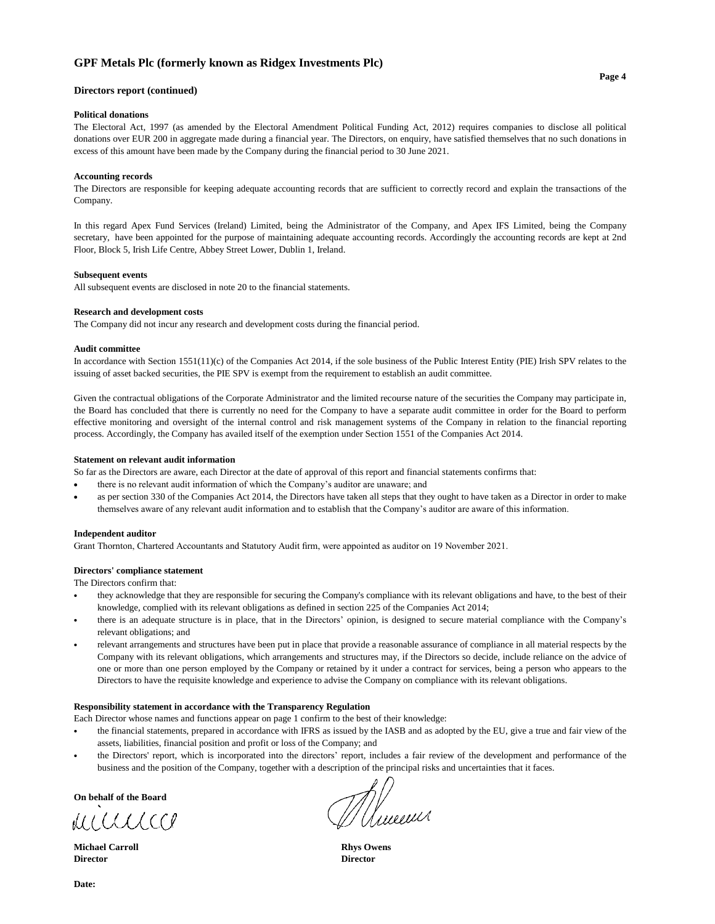#### Directors report (continued)

#### **Political donations**

The Electoral Act, 1997 (as amended by the Electoral Amendment Political Funding Act, 2012) requires companies to disclose all political donations over EUR 200 in aggregate made during a financial year. The Directors, on enquiry, have satisfied themselves that no such donations in excess of this amount have been made by the Company during the financial period to 30 June 2021.

#### **Accounting records**

The Directors are responsible for keeping adequate accounting records that are sufficient to correctly record and explain the transactions of the Company.

In this regard Apex Fund Services (Ireland) Limited, being the Administrator of the Company, and Apex IFS Limited, being the Company secretary, have been appointed for the purpose of maintaining adequate accounting records. Accordingly the accounting records are kept at 2nd Floor, Block 5, Irish Life Centre, Abbey Street Lower, Dublin 1, Ireland.

#### **Subsequent events**

All subsequent events are disclosed in note 20 to the financial statements.

#### **Research and development costs**

The Company did not incur any research and development costs during the financial period.

#### **Audit committee**

In accordance with Section 1551(11)(c) of the Companies Act 2014, if the sole business of the Public Interest Entity (PIE) Irish SPV relates to the issuing of asset backed securities, the PIE SPV is exempt from the requirement to establish an audit committee.

Given the contractual obligations of the Corporate Administrator and the limited recourse nature of the securities the Company may participate in, the Board has concluded that there is currently no need for the Company to have a separate audit committee in order for the Board to perform effective monitoring and oversight of the internal control and risk management systems of the Company in relation to the financial reporting process. Accordingly, the Company has availed itself of the exemption under Section 1551 of the Companies Act 2014.

#### Statement on relevant audit information

So far as the Directors are aware, each Director at the date of approval of this report and financial statements confirms that:

- there is no relevant audit information of which the Company's auditor are unaware; and
- as per section 330 of the Companies Act 2014, the Directors have taken all steps that they ought to have taken as a Director in order to make themselves aware of any relevant audit information and to establish that the Company's auditor are aware of this information.

#### **Independent auditor**

Grant Thornton, Chartered Accountants and Statutory Audit firm, were appointed as auditor on 19 November 2021.

#### Directors' compliance statement

The Directors confirm that:

- they acknowledge that they are responsible for securing the Company's compliance with its relevant obligations and have, to the best of their knowledge, complied with its relevant obligations as defined in section 225 of the Companies Act 2014;
- there is an adequate structure is in place, that in the Directors' opinion, is designed to secure material compliance with the Company's relevant obligations; and
- relevant arrangements and structures have been put in place that provide a reasonable assurance of compliance in all material respects by the Company with its relevant obligations, which arrangements and structures may, if the Directors so decide, include reliance on the advice of one or more than one person employed by the Company or retained by it under a contract for services, being a person who appears to the Directors to have the requisite knowledge and experience to advise the Company on compliance with its relevant obligations.

#### Responsibility statement in accordance with the Transparency Regulation

Each Director whose names and functions appear on page 1 confirm to the best of their knowledge:

- the financial statements, prepared in accordance with IFRS as issued by the IASB and as adopted by the EU, give a true and fair view of the assets, liabilities, financial position and profit or loss of the Company; and
- the Directors' report, which is incorporated into the directors' report, includes a fair review of the development and performance of the business and the position of the Company, together with a description of the principal risks and uncertainties that it faces.

On behalf of the Board

MUULLOCO

**Michael Carroll Director** 

Whilewith

**Rhys Owens Director**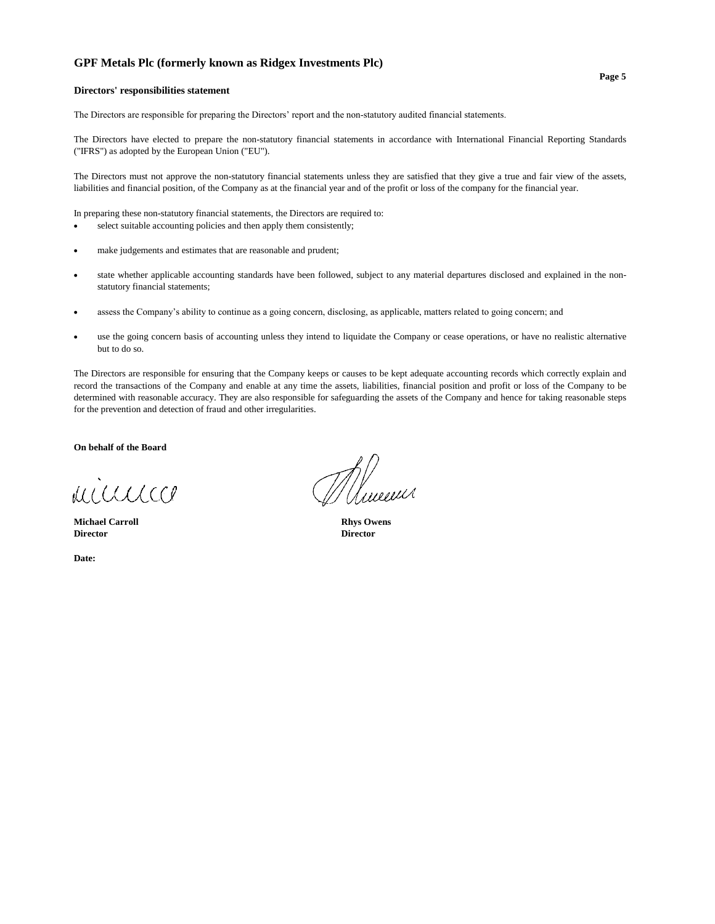#### Directors' responsibilities statement

The Directors are responsible for preparing the Directors' report and the non-statutory audited financial statements.

The Directors have elected to prepare the non-statutory financial statements in accordance with International Financial Reporting Standards ("IFRS") as adopted by the European Union ("EU").

The Directors must not approve the non-statutory financial statements unless they are satisfied that they give a true and fair view of the assets, liabilities and financial position, of the Company as at the financial year and of the profit or loss of the company for the financial year.

In preparing these non-statutory financial statements, the Directors are required to:

- select suitable accounting policies and then apply them consistently;
- make judgements and estimates that are reasonable and prudent;
- state whether applicable accounting standards have been followed, subject to any material departures disclosed and explained in the nonstatutory financial statements;
- assess the Company's ability to continue as a going concern, disclosing, as applicable, matters related to going concern; and
- use the going concern basis of accounting unless they intend to liquidate the Company or cease operations, or have no realistic alternative but to do so.

The Directors are responsible for ensuring that the Company keeps or causes to be kept adequate accounting records which correctly explain and record the transactions of the Company and enable at any time the assets, liabilities, financial position and profit or loss of the Company to be determined with reasonable accuracy. They are also responsible for safeguarding the assets of the Company and hence for taking reasonable steps for the prevention and detection of fraud and other irregularities.

On behalf of the Board

MICCLLCCP

**Michael Carroll Director** 

Date:

y<br>//www

**Rhys Owens Director**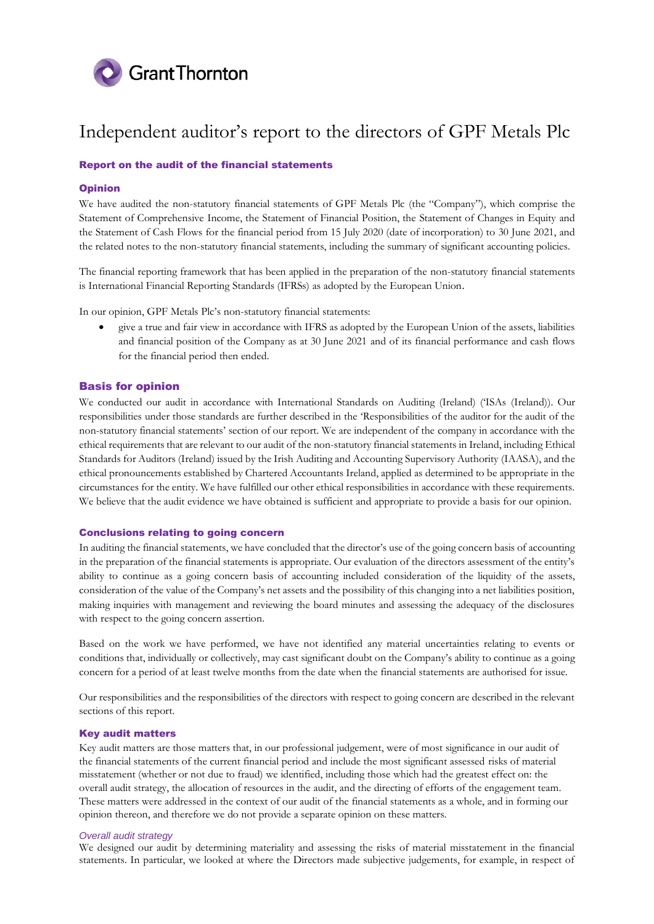

## Report on the audit of the financial statements

## Opinion

We have audited the non-statutory financial statements of GPF Metals Plc (the "Company"), which comprise the Statement of Comprehensive Income, the Statement of Financial Position, the Statement of Changes in Equity and the Statement of Cash Flows for the financial period from 15 July 2020 (date of incorporation) to 30 June 2021, and the related notes to the non-statutory financial statements, including the summary of significant accounting policies.

The financial reporting framework that has been applied in the preparation of the non-statutory financial statements is International Financial Reporting Standards (IFRSs) as adopted by the European Union.

In our opinion, GPF Metals Plc's non-statutory financial statements:

 give a true and fair view in accordance with IFRS as adopted by the European Union of the assets, liabilities and financial position of the Company as at 30 June 2021 and of its financial performance and cash flows for the financial period then ended.

## Basis for opinion

We conducted our audit in accordance with International Standards on Auditing (Ireland) ('ISAs (Ireland)). Our responsibilities under those standards are further described in the 'Responsibilities of the auditor for the audit of the non-statutory financial statements' section of our report. We are independent of the company in accordance with the ethical requirements that are relevant to our audit of the non-statutory financial statements in Ireland, including Ethical Standards for Auditors (Ireland) issued by the Irish Auditing and Accounting Supervisory Authority (IAASA), and the ethical pronouncements established by Chartered Accountants Ireland, applied as determined to be appropriate in the circumstances for the entity. We have fulfilled our other ethical responsibilities in accordance with these requirements. We believe that the audit evidence we have obtained is sufficient and appropriate to provide a basis for our opinion.

## Conclusions relating to going concern

In auditing the financial statements, we have concluded that the director's use of the going concern basis of accounting in the preparation of the financial statements is appropriate. Our evaluation of the directors assessment of the entity's ability to continue as a going concern basis of accounting included consideration of the liquidity of the assets, consideration of the value of the Company's net assets and the possibility of this changing into a net liabilities position, making inquiries with management and reviewing the board minutes and assessing the adequacy of the disclosures with respect to the going concern assertion.

Based on the work we have performed, we have not identified any material uncertainties relating to events or conditions that, individually or collectively, may cast significant doubt on the Company's ability to continue as a going concern for a period of at least twelve months from the date when the financial statements are authorised for issue.

Our responsibilities and the responsibilities of the directors with respect to going concern are described in the relevant sections of this report.

#### Key audit matters

Key audit matters are those matters that, in our professional judgement, were of most significance in our audit of the financial statements of the current financial period and include the most significant assessed risks of material misstatement (whether or not due to fraud) we identified, including those which had the greatest effect on: the overall audit strategy, the allocation of resources in the audit, and the directing of efforts of the engagement team. These matters were addressed in the context of our audit of the financial statements as a whole, and in forming our opinion thereon, and therefore we do not provide a separate opinion on these matters.

### *Overall audit strategy*

We designed our audit by determining materiality and assessing the risks of material misstatement in the financial statements. In particular, we looked at where the Directors made subjective judgements, for example, in respect of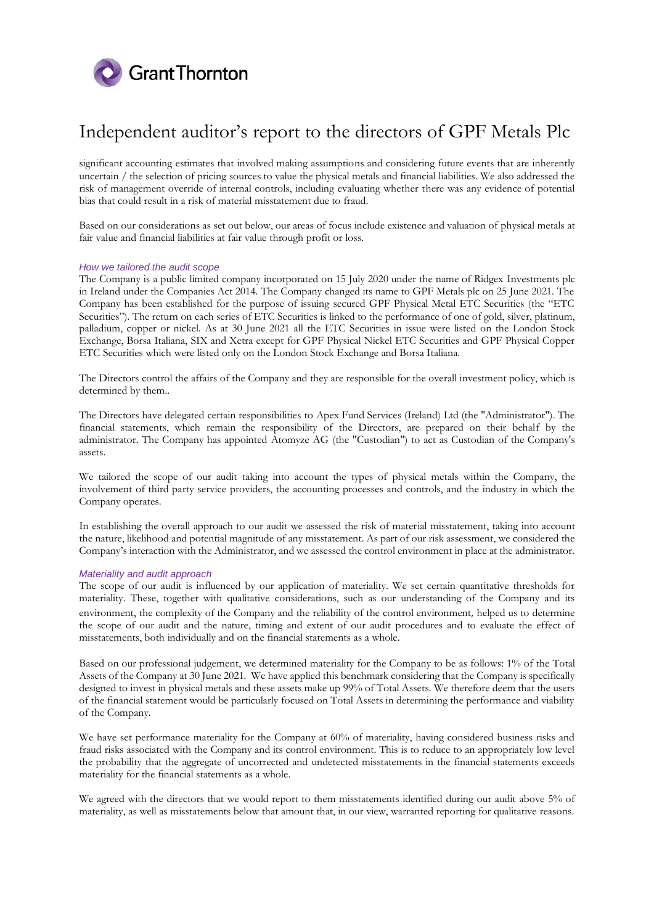

significant accounting estimates that involved making assumptions and considering future events that are inherently uncertain / the selection of pricing sources to value the physical metals and financial liabilities. We also addressed the risk of management override of internal controls, including evaluating whether there was any evidence of potential bias that could result in a risk of material misstatement due to fraud.

Based on our considerations as set out below, our areas of focus include existence and valuation of physical metals at fair value and financial liabilities at fair value through profit or loss.

### *How we tailored the audit scope*

The Company is a public limited company incorporated on 15 July 2020 under the name of Ridgex Investments plc in Ireland under the Companies Act 2014. The Company changed its name to GPF Metals plc on 25 June 2021. The Company has been established for the purpose of issuing secured GPF Physical Metal ETC Securities (the "ETC Securities"). The return on each series of ETC Securities is linked to the performance of one of gold, silver, platinum, palladium, copper or nickel. As at 30 June 2021 all the ETC Securities in issue were listed on the London Stock Exchange, Borsa Italiana, SIX and Xetra except for GPF Physical Nickel ETC Securities and GPF Physical Copper ETC Securities which were listed only on the London Stock Exchange and Borsa Italiana.

The Directors control the affairs of the Company and they are responsible for the overall investment policy, which is determined by them..

The Directors have delegated certain responsibilities to Apex Fund Services (Ireland) Ltd (the "Administrator"). The financial statements, which remain the responsibility of the Directors, are prepared on their behalf by the administrator. The Company has appointed Atomyze AG (the "Custodian") to act as Custodian of the Company's assets.

We tailored the scope of our audit taking into account the types of physical metals within the Company, the involvement of third party service providers, the accounting processes and controls, and the industry in which the Company operates.

In establishing the overall approach to our audit we assessed the risk of material misstatement, taking into account the nature, likelihood and potential magnitude of any misstatement. As part of our risk assessment, we considered the Company's interaction with the Administrator, and we assessed the control environment in place at the administrator.

#### *Materiality and audit approach*

The scope of our audit is influenced by our application of materiality. We set certain quantitative thresholds for materiality. These, together with qualitative considerations, such as our understanding of the Company and its environment, the complexity of the Company and the reliability of the control environment, helped us to determine the scope of our audit and the nature, timing and extent of our audit procedures and to evaluate the effect of misstatements, both individually and on the financial statements as a whole.

Based on our professional judgement, we determined materiality for the Company to be as follows: 1% of the Total Assets of the Company at 30 June 2021. We have applied this benchmark considering that the Company is specifically designed to invest in physical metals and these assets make up 99% of Total Assets. We therefore deem that the users of the financial statement would be particularly focused on Total Assets in determining the performance and viability of the Company.

We have set performance materiality for the Company at 60% of materiality, having considered business risks and fraud risks associated with the Company and its control environment. This is to reduce to an appropriately low level the probability that the aggregate of uncorrected and undetected misstatements in the financial statements exceeds materiality for the financial statements as a whole.

We agreed with the directors that we would report to them misstatements identified during our audit above 5% of materiality, as well as misstatements below that amount that, in our view, warranted reporting for qualitative reasons.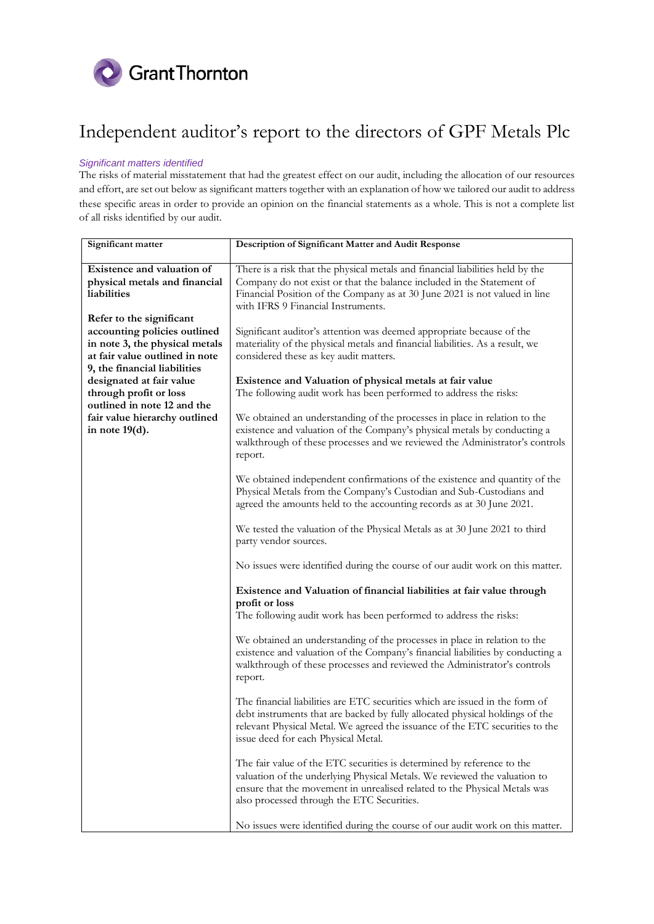

## *Significant matters identified*

The risks of material misstatement that had the greatest effect on our audit, including the allocation of our resources and effort, are set out below as significant matters together with an explanation of how we tailored our audit to address these specific areas in order to provide an opinion on the financial statements as a whole. This is not a complete list of all risks identified by our audit.

| Significant matter             | Description of Significant Matter and Audit Response                           |
|--------------------------------|--------------------------------------------------------------------------------|
|                                |                                                                                |
| Existence and valuation of     | There is a risk that the physical metals and financial liabilities held by the |
| physical metals and financial  | Company do not exist or that the balance included in the Statement of          |
| liabilities                    | Financial Position of the Company as at 30 June 2021 is not valued in line     |
|                                | with IFRS 9 Financial Instruments.                                             |
| Refer to the significant       |                                                                                |
| accounting policies outlined   | Significant auditor's attention was deemed appropriate because of the          |
| in note 3, the physical metals | materiality of the physical metals and financial liabilities. As a result, we  |
| at fair value outlined in note | considered these as key audit matters.                                         |
| 9, the financial liabilities   |                                                                                |
| designated at fair value       | Existence and Valuation of physical metals at fair value                       |
| through profit or loss         | The following audit work has been performed to address the risks:              |
| outlined in note 12 and the    |                                                                                |
| fair value hierarchy outlined  | We obtained an understanding of the processes in place in relation to the      |
| in note $19(d)$ .              | existence and valuation of the Company's physical metals by conducting a       |
|                                | walkthrough of these processes and we reviewed the Administrator's controls    |
|                                | report.                                                                        |
|                                |                                                                                |
|                                | We obtained independent confirmations of the existence and quantity of the     |
|                                | Physical Metals from the Company's Custodian and Sub-Custodians and            |
|                                | agreed the amounts held to the accounting records as at 30 June 2021.          |
|                                |                                                                                |
|                                | We tested the valuation of the Physical Metals as at 30 June 2021 to third     |
|                                | party vendor sources.                                                          |
|                                |                                                                                |
|                                | No issues were identified during the course of our audit work on this matter.  |
|                                | Existence and Valuation of financial liabilities at fair value through         |
|                                | profit or loss                                                                 |
|                                | The following audit work has been performed to address the risks:              |
|                                | We obtained an understanding of the processes in place in relation to the      |
|                                | existence and valuation of the Company's financial liabilities by conducting a |
|                                | walkthrough of these processes and reviewed the Administrator's controls       |
|                                | report.                                                                        |
|                                |                                                                                |
|                                | The financial liabilities are ETC securities which are issued in the form of   |
|                                | debt instruments that are backed by fully allocated physical holdings of the   |
|                                | relevant Physical Metal. We agreed the issuance of the ETC securities to the   |
|                                | issue deed for each Physical Metal.                                            |
|                                |                                                                                |
|                                | The fair value of the ETC securities is determined by reference to the         |
|                                | valuation of the underlying Physical Metals. We reviewed the valuation to      |
|                                | ensure that the movement in unrealised related to the Physical Metals was      |
|                                | also processed through the ETC Securities.                                     |
|                                |                                                                                |
|                                | No issues were identified during the course of our audit work on this matter.  |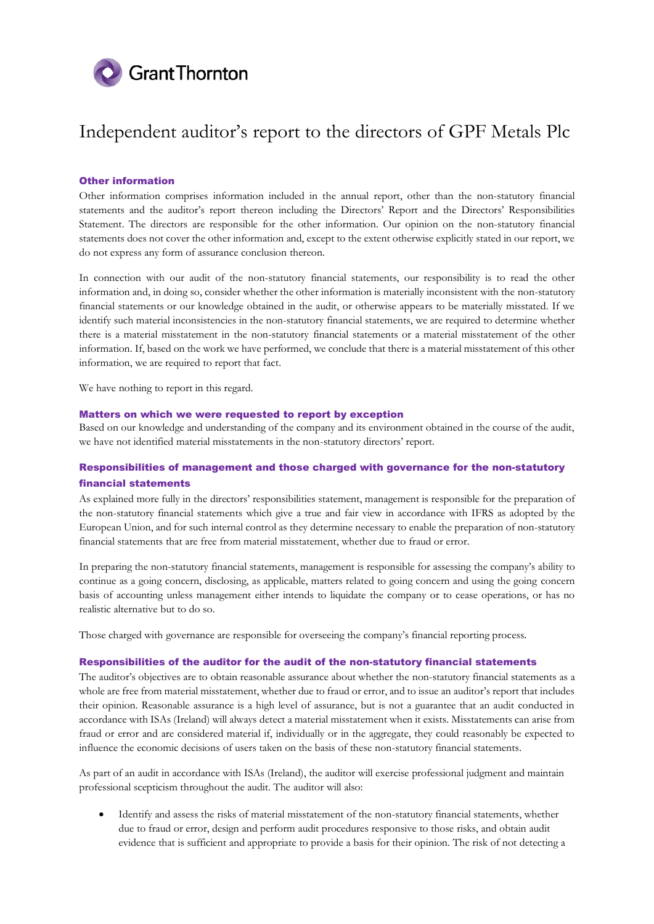

## Other information

Other information comprises information included in the annual report, other than the non-statutory financial statements and the auditor's report thereon including the Directors' Report and the Directors' Responsibilities Statement. The directors are responsible for the other information. Our opinion on the non-statutory financial statements does not cover the other information and, except to the extent otherwise explicitly stated in our report, we do not express any form of assurance conclusion thereon.

In connection with our audit of the non-statutory financial statements, our responsibility is to read the other information and, in doing so, consider whether the other information is materially inconsistent with the non-statutory financial statements or our knowledge obtained in the audit, or otherwise appears to be materially misstated. If we identify such material inconsistencies in the non-statutory financial statements, we are required to determine whether there is a material misstatement in the non-statutory financial statements or a material misstatement of the other information. If, based on the work we have performed, we conclude that there is a material misstatement of this other information, we are required to report that fact.

We have nothing to report in this regard.

#### Matters on which we were requested to report by exception

Based on our knowledge and understanding of the company and its environment obtained in the course of the audit, we have not identified material misstatements in the non-statutory directors' report.

## Responsibilities of management and those charged with governance for the non-statutory financial statements

As explained more fully in the directors' responsibilities statement, management is responsible for the preparation of the non-statutory financial statements which give a true and fair view in accordance with IFRS as adopted by the European Union, and for such internal control as they determine necessary to enable the preparation of non-statutory financial statements that are free from material misstatement, whether due to fraud or error.

In preparing the non-statutory financial statements, management is responsible for assessing the company's ability to continue as a going concern, disclosing, as applicable, matters related to going concern and using the going concern basis of accounting unless management either intends to liquidate the company or to cease operations, or has no realistic alternative but to do so.

Those charged with governance are responsible for overseeing the company's financial reporting process.

#### Responsibilities of the auditor for the audit of the non-statutory financial statements

The auditor's objectives are to obtain reasonable assurance about whether the non-statutory financial statements as a whole are free from material misstatement, whether due to fraud or error, and to issue an auditor's report that includes their opinion. Reasonable assurance is a high level of assurance, but is not a guarantee that an audit conducted in accordance with ISAs (Ireland) will always detect a material misstatement when it exists. Misstatements can arise from fraud or error and are considered material if, individually or in the aggregate, they could reasonably be expected to influence the economic decisions of users taken on the basis of these non-statutory financial statements.

As part of an audit in accordance with ISAs (Ireland), the auditor will exercise professional judgment and maintain professional scepticism throughout the audit. The auditor will also:

 Identify and assess the risks of material misstatement of the non-statutory financial statements, whether due to fraud or error, design and perform audit procedures responsive to those risks, and obtain audit evidence that is sufficient and appropriate to provide a basis for their opinion. The risk of not detecting a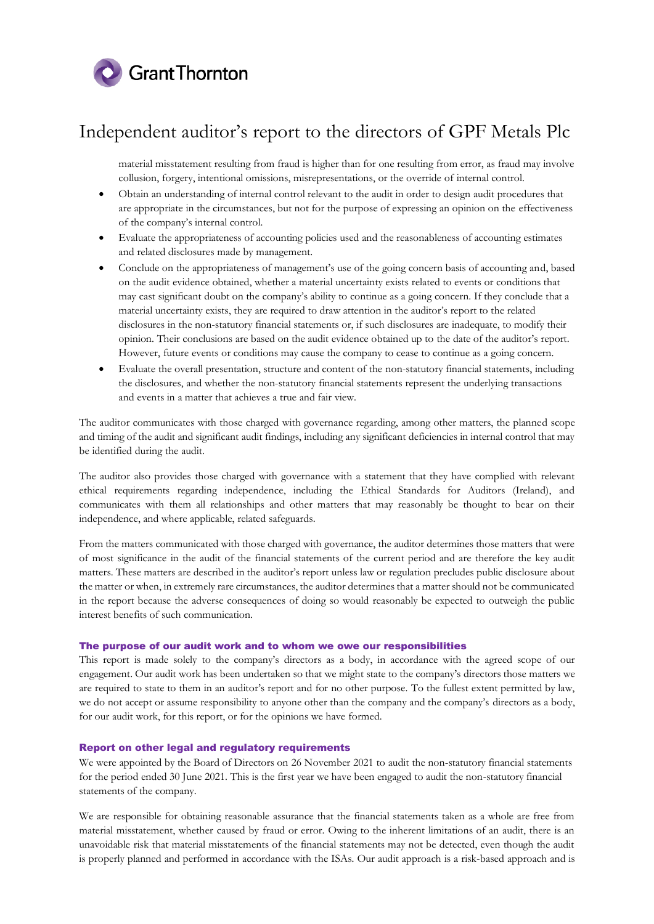

material misstatement resulting from fraud is higher than for one resulting from error, as fraud may involve collusion, forgery, intentional omissions, misrepresentations, or the override of internal control.

- Obtain an understanding of internal control relevant to the audit in order to design audit procedures that are appropriate in the circumstances, but not for the purpose of expressing an opinion on the effectiveness of the company's internal control.
- Evaluate the appropriateness of accounting policies used and the reasonableness of accounting estimates and related disclosures made by management.
- Conclude on the appropriateness of management's use of the going concern basis of accounting and, based on the audit evidence obtained, whether a material uncertainty exists related to events or conditions that may cast significant doubt on the company's ability to continue as a going concern. If they conclude that a material uncertainty exists, they are required to draw attention in the auditor's report to the related disclosures in the non-statutory financial statements or, if such disclosures are inadequate, to modify their opinion. Their conclusions are based on the audit evidence obtained up to the date of the auditor's report. However, future events or conditions may cause the company to cease to continue as a going concern.
- Evaluate the overall presentation, structure and content of the non-statutory financial statements, including the disclosures, and whether the non-statutory financial statements represent the underlying transactions and events in a matter that achieves a true and fair view.

The auditor communicates with those charged with governance regarding, among other matters, the planned scope and timing of the audit and significant audit findings, including any significant deficiencies in internal control that may be identified during the audit.

The auditor also provides those charged with governance with a statement that they have complied with relevant ethical requirements regarding independence, including the Ethical Standards for Auditors (Ireland), and communicates with them all relationships and other matters that may reasonably be thought to bear on their independence, and where applicable, related safeguards.

From the matters communicated with those charged with governance, the auditor determines those matters that were of most significance in the audit of the financial statements of the current period and are therefore the key audit matters. These matters are described in the auditor's report unless law or regulation precludes public disclosure about the matter or when, in extremely rare circumstances, the auditor determines that a matter should not be communicated in the report because the adverse consequences of doing so would reasonably be expected to outweigh the public interest benefits of such communication.

#### The purpose of our audit work and to whom we owe our responsibilities

This report is made solely to the company's directors as a body, in accordance with the agreed scope of our engagement. Our audit work has been undertaken so that we might state to the company's directors those matters we are required to state to them in an auditor's report and for no other purpose. To the fullest extent permitted by law, we do not accept or assume responsibility to anyone other than the company and the company's directors as a body, for our audit work, for this report, or for the opinions we have formed.

## Report on other legal and regulatory requirements

We were appointed by the Board of Directors on 26 November 2021 to audit the non-statutory financial statements for the period ended 30 June 2021. This is the first year we have been engaged to audit the non-statutory financial statements of the company.

We are responsible for obtaining reasonable assurance that the financial statements taken as a whole are free from material misstatement, whether caused by fraud or error. Owing to the inherent limitations of an audit, there is an unavoidable risk that material misstatements of the financial statements may not be detected, even though the audit is properly planned and performed in accordance with the ISAs. Our audit approach is a risk-based approach and is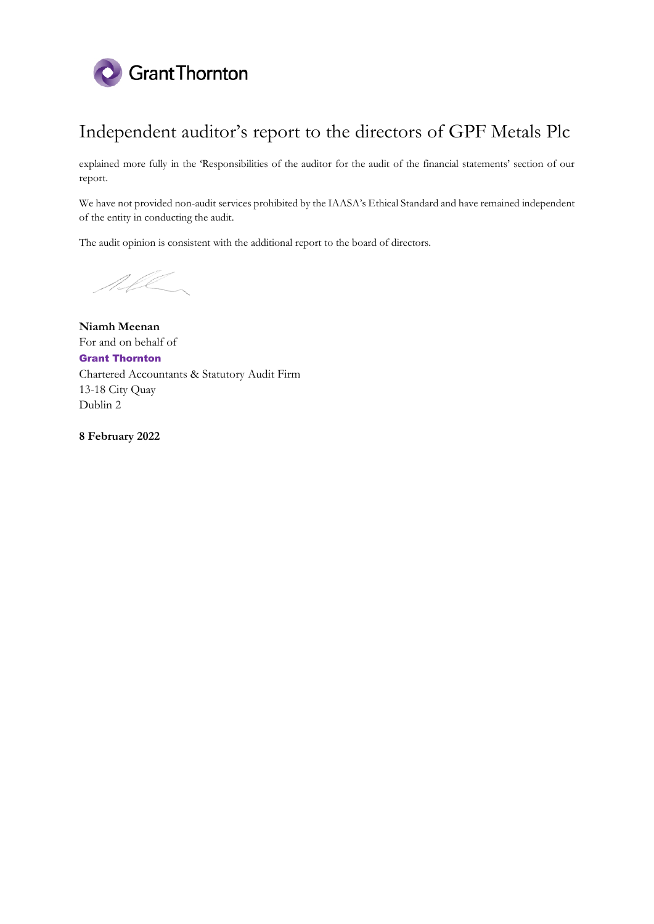

explained more fully in the 'Responsibilities of the auditor for the audit of the financial statements' section of our report.

We have not provided non-audit services prohibited by the IAASA's Ethical Standard and have remained independent of the entity in conducting the audit.

The audit opinion is consistent with the additional report to the board of directors.

SI DI

**Niamh Meenan** For and on behalf of Grant Thornton Chartered Accountants & Statutory Audit Firm 13-18 City Quay Dublin 2

**8 February 2022**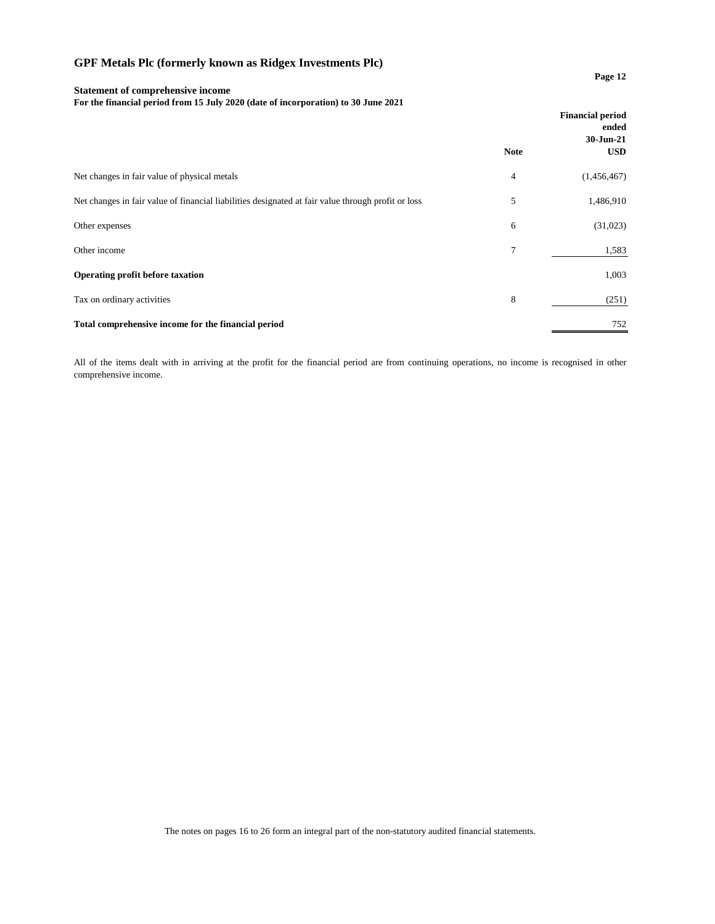### **Page 12**

## **Statement of comprehensive income For the financial period from 15 July 2020 (date of incorporation) to 30 June 2021**

|                                                                                                    |             | <b>Financial period</b><br>ended<br>30-Jun-21 |
|----------------------------------------------------------------------------------------------------|-------------|-----------------------------------------------|
|                                                                                                    | <b>Note</b> | <b>USD</b>                                    |
| Net changes in fair value of physical metals                                                       | 4           | (1,456,467)                                   |
| Net changes in fair value of financial liabilities designated at fair value through profit or loss | 5           | 1,486,910                                     |
| Other expenses                                                                                     | 6           | (31,023)                                      |
| Other income                                                                                       | 7           | 1,583                                         |
| Operating profit before taxation                                                                   |             | 1,003                                         |
| Tax on ordinary activities                                                                         | 8           | (251)                                         |
| Total comprehensive income for the financial period                                                |             | 752                                           |

All of the items dealt with in arriving at the profit for the financial period are from continuing operations, no income is recognised in other comprehensive income.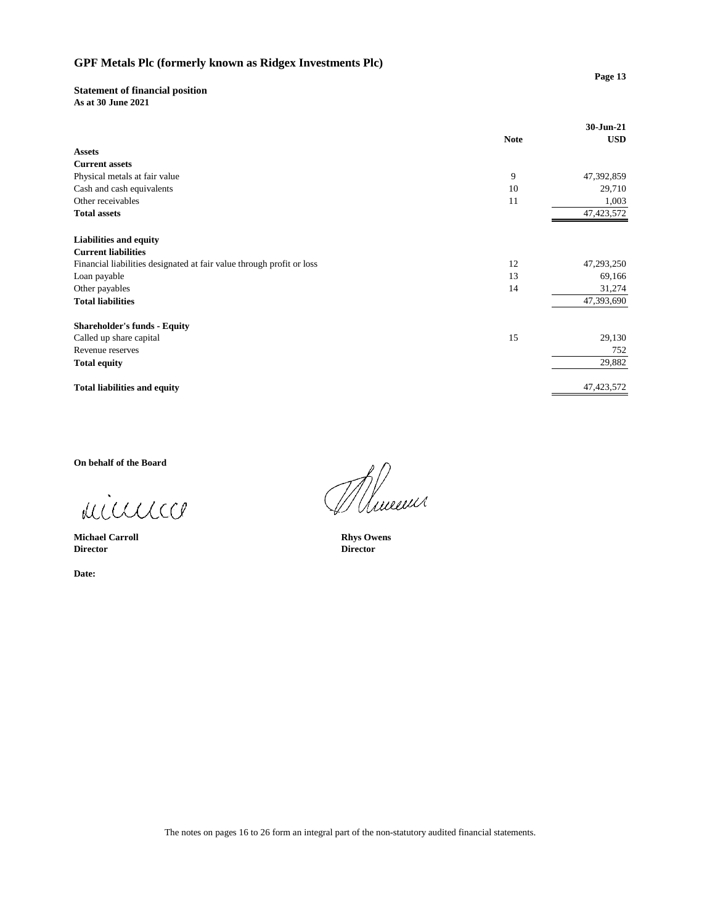## **Statement of financial position**

As at 30 June 2021

|                                                                       | <b>Note</b> | 30-Jun-21<br><b>USD</b> |
|-----------------------------------------------------------------------|-------------|-------------------------|
| <b>Assets</b>                                                         |             |                         |
| <b>Current assets</b>                                                 |             |                         |
|                                                                       |             |                         |
| Physical metals at fair value                                         | 9           | 47,392,859              |
| Cash and cash equivalents                                             | 10          | 29,710                  |
| Other receivables                                                     | 11          | 1,003                   |
| <b>Total assets</b>                                                   |             | 47, 423, 572            |
| <b>Liabilities and equity</b>                                         |             |                         |
| <b>Current liabilities</b>                                            |             |                         |
| Financial liabilities designated at fair value through profit or loss | 12          | 47,293,250              |
| Loan payable                                                          | 13          | 69,166                  |
| Other payables                                                        | 14          | 31,274                  |
| <b>Total liabilities</b>                                              |             | 47,393,690              |
| <b>Shareholder's funds - Equity</b>                                   |             |                         |
| Called up share capital                                               | 15          | 29,130                  |
| Revenue reserves                                                      |             | 752                     |
| <b>Total equity</b>                                                   |             | 29,882                  |
| <b>Total liabilities and equity</b>                                   |             | 47, 423, 572            |

On behalf of the Board

minnico

**Michael Carroll Director** 

Date:

Munne

**Rhys Owens Director**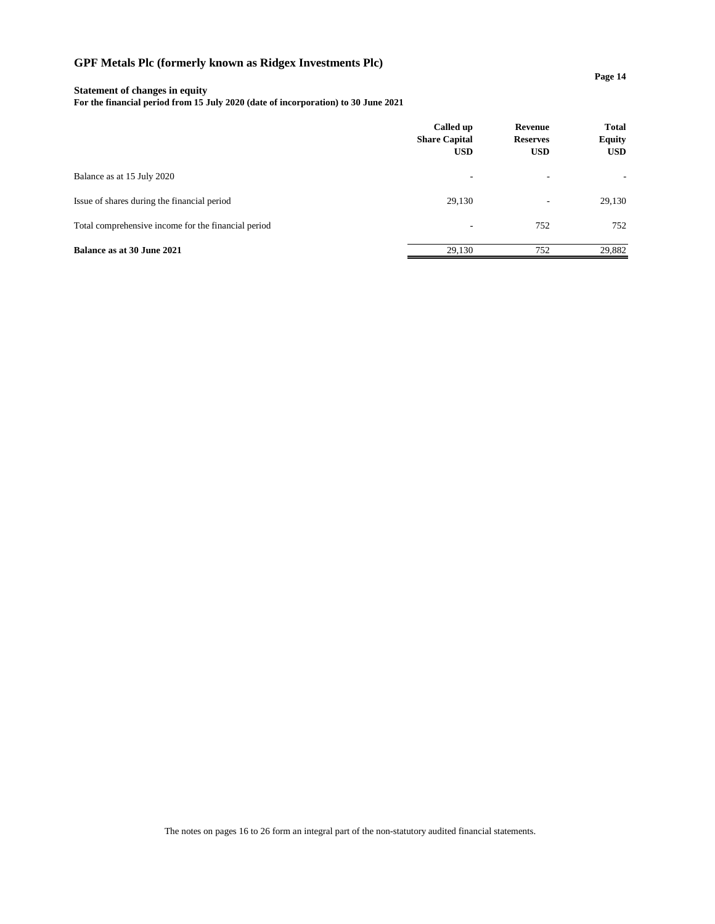## **Statement of changes in equity**

**For the financial period from 15 July 2020 (date of incorporation) to 30 June 2021**

|                                                     | Called up<br><b>Share Capital</b><br><b>USD</b> | Revenue<br><b>Reserves</b><br><b>USD</b> | <b>Total</b><br><b>Equity</b><br><b>USD</b> |
|-----------------------------------------------------|-------------------------------------------------|------------------------------------------|---------------------------------------------|
| Balance as at 15 July 2020                          | ٠                                               | $\overline{\phantom{a}}$                 | ۰.                                          |
| Issue of shares during the financial period         | 29,130                                          | $\overline{\phantom{a}}$                 | 29,130                                      |
| Total comprehensive income for the financial period | ۰                                               | 752                                      | 752                                         |
| Balance as at 30 June 2021                          | 29.130                                          | 752                                      | 29,882                                      |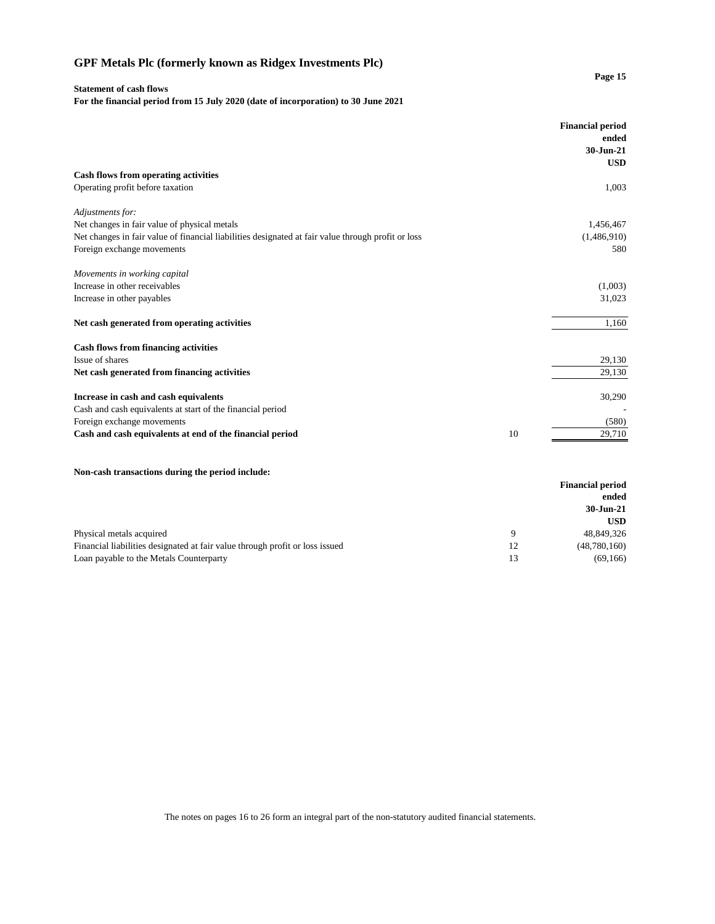#### **Statement of cash flows**

**For the financial period from 15 July 2020 (date of incorporation) to 30 June 2021**

|                                                                                                    |    | <b>Financial period</b><br>ended<br>30-Jun-21<br><b>USD</b> |
|----------------------------------------------------------------------------------------------------|----|-------------------------------------------------------------|
| Cash flows from operating activities                                                               |    |                                                             |
| Operating profit before taxation                                                                   |    | 1,003                                                       |
| Adjustments for:                                                                                   |    |                                                             |
| Net changes in fair value of physical metals                                                       |    | 1,456,467                                                   |
| Net changes in fair value of financial liabilities designated at fair value through profit or loss |    | (1,486,910)                                                 |
| Foreign exchange movements                                                                         |    | 580                                                         |
| Movements in working capital                                                                       |    |                                                             |
| Increase in other receivables                                                                      |    | (1,003)                                                     |
| Increase in other payables                                                                         |    | 31,023                                                      |
| Net cash generated from operating activities                                                       |    | 1,160                                                       |
| <b>Cash flows from financing activities</b>                                                        |    |                                                             |
| Issue of shares                                                                                    |    | 29,130                                                      |
| Net cash generated from financing activities                                                       |    | 29,130                                                      |
| Increase in cash and cash equivalents                                                              |    | 30,290                                                      |
| Cash and cash equivalents at start of the financial period                                         |    |                                                             |
| Foreign exchange movements                                                                         |    | (580)                                                       |
| Cash and cash equivalents at end of the financial period                                           | 10 | 29,710                                                      |
|                                                                                                    |    |                                                             |
| Non-cash transactions during the period include:                                                   |    | <b>Financial period</b>                                     |
|                                                                                                    |    | ended                                                       |
|                                                                                                    |    | 30-Jun-21                                                   |
|                                                                                                    |    | <b>USD</b>                                                  |

| Physical metals acquired                                                     | 48.849.326     |
|------------------------------------------------------------------------------|----------------|
| Financial liabilities designated at fair value through profit or loss issued | (48, 780, 160) |
| Loan payable to the Metals Counterparty                                      | (69, 166)      |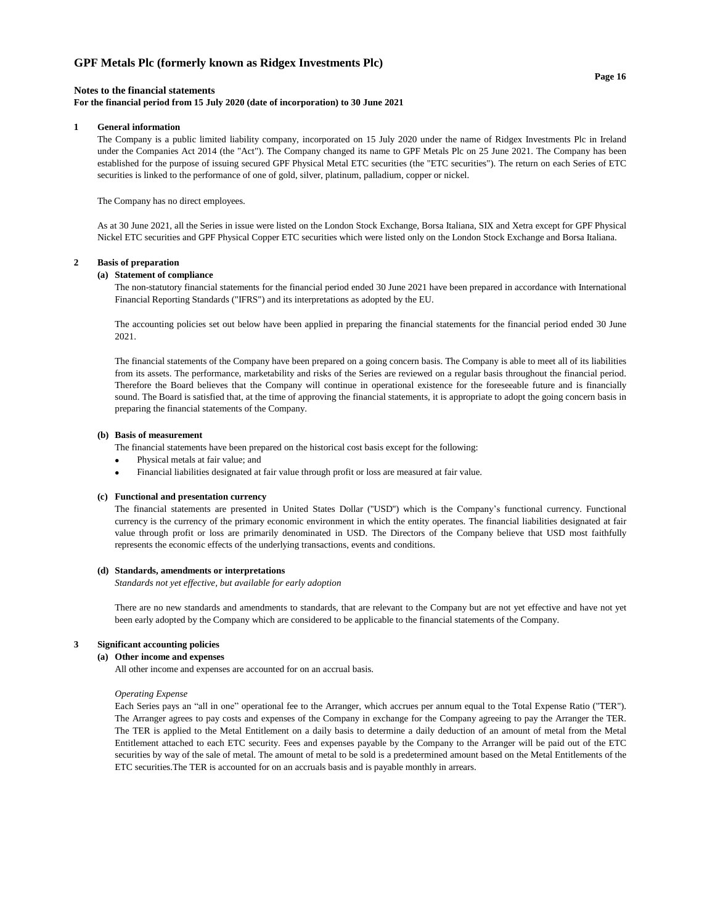## **Notes to the financial statements**

#### **For the financial period from 15 July 2020 (date of incorporation) to 30 June 2021**

#### **1 General information**

The Company is a public limited liability company, incorporated on 15 July 2020 under the name of Ridgex Investments Plc in Ireland under the Companies Act 2014 (the "Act"). The Company changed its name to GPF Metals Plc on 25 June 2021. The Company has been established for the purpose of issuing secured GPF Physical Metal ETC securities (the "ETC securities"). The return on each Series of ETC securities is linked to the performance of one of gold, silver, platinum, palladium, copper or nickel.

The Company has no direct employees.

As at 30 June 2021, all the Series in issue were listed on the London Stock Exchange, Borsa Italiana, SIX and Xetra except for GPF Physical Nickel ETC securities and GPF Physical Copper ETC securities which were listed only on the London Stock Exchange and Borsa Italiana.

#### **2 Basis of preparation**

#### **(a) Statement of compliance**

The non-statutory financial statements for the financial period ended 30 June 2021 have been prepared in accordance with International Financial Reporting Standards ("IFRS") and its interpretations as adopted by the EU.

The accounting policies set out below have been applied in preparing the financial statements for the financial period ended 30 June 2021.

The financial statements of the Company have been prepared on a going concern basis. The Company is able to meet all of its liabilities from its assets. The performance, marketability and risks of the Series are reviewed on a regular basis throughout the financial period. Therefore the Board believes that the Company will continue in operational existence for the foreseeable future and is financially sound. The Board is satisfied that, at the time of approving the financial statements, it is appropriate to adopt the going concern basis in preparing the financial statements of the Company.

#### **(b) Basis of measurement**

The financial statements have been prepared on the historical cost basis except for the following:

- •Physical metals at fair value; and
- • Financial liabilities designated at fair value through profit or loss are measured at fair value.

#### **(c) Functional and presentation currency**

The financial statements are presented in United States Dollar (''USD'') which is the Company's functional currency. Functional currency is the currency of the primary economic environment in which the entity operates. The financial liabilities designated at fair value through profit or loss are primarily denominated in USD. The Directors of the Company believe that USD most faithfully represents the economic effects of the underlying transactions, events and conditions.

#### **(d) Standards, amendments or interpretations**

*Standards not yet effective, but available for early adoption*

There are no new standards and amendments to standards, that are relevant to the Company but are not yet effective and have not yet been early adopted by the Company which are considered to be applicable to the financial statements of the Company.

#### **3 Significant accounting policies**

#### **(a) Other income and expenses**

All other income and expenses are accounted for on an accrual basis.

#### *Operating Expense*

Each Series pays an "all in one" operational fee to the Arranger, which accrues per annum equal to the Total Expense Ratio ("TER"). The Arranger agrees to pay costs and expenses of the Company in exchange for the Company agreeing to pay the Arranger the TER. The TER is applied to the Metal Entitlement on a daily basis to determine a daily deduction of an amount of metal from the Metal Entitlement attached to each ETC security. Fees and expenses payable by the Company to the Arranger will be paid out of the ETC securities by way of the sale of metal. The amount of metal to be sold is a predetermined amount based on the Metal Entitlements of the ETC securities.The TER is accounted for on an accruals basis and is payable monthly in arrears.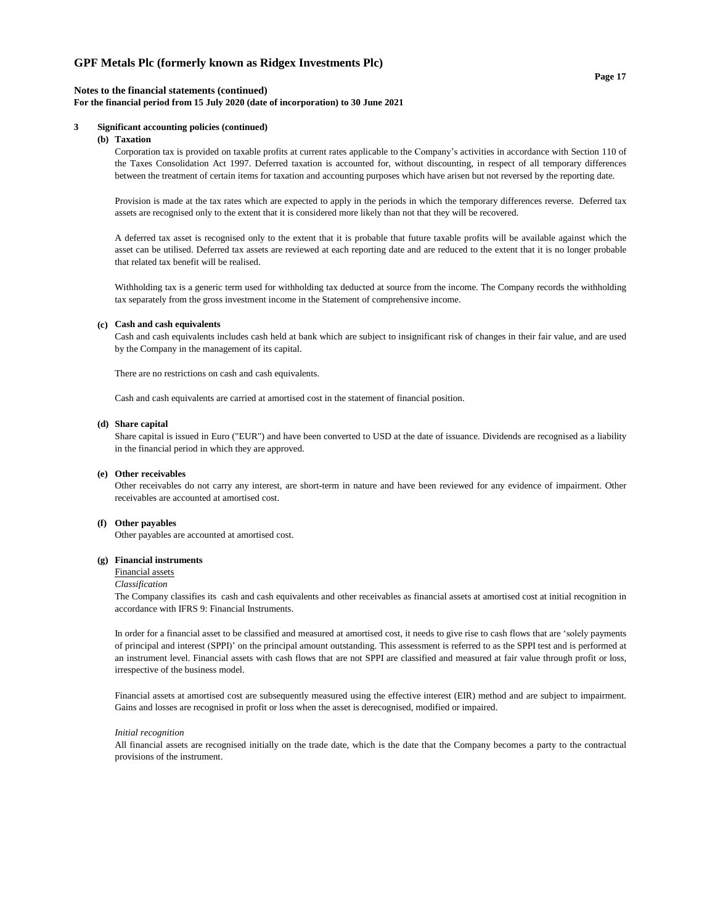#### **Page 17**

#### **Notes to the financial statements (continued)**

#### **For the financial period from 15 July 2020 (date of incorporation) to 30 June 2021**

### **3 Significant accounting policies (continued)**

#### **(b) Taxation**

Corporation tax is provided on taxable profits at current rates applicable to the Company's activities in accordance with Section 110 of the Taxes Consolidation Act 1997. Deferred taxation is accounted for, without discounting, in respect of all temporary differences between the treatment of certain items for taxation and accounting purposes which have arisen but not reversed by the reporting date.

Provision is made at the tax rates which are expected to apply in the periods in which the temporary differences reverse. Deferred tax assets are recognised only to the extent that it is considered more likely than not that they will be recovered.

A deferred tax asset is recognised only to the extent that it is probable that future taxable profits will be available against which the asset can be utilised. Deferred tax assets are reviewed at each reporting date and are reduced to the extent that it is no longer probable that related tax benefit will be realised.

Withholding tax is a generic term used for withholding tax deducted at source from the income. The Company records the withholding tax separately from the gross investment income in the Statement of comprehensive income.

#### **(c) Cash and cash equivalents**

Cash and cash equivalents includes cash held at bank which are subject to insignificant risk of changes in their fair value, and are used by the Company in the management of its capital.

There are no restrictions on cash and cash equivalents.

Cash and cash equivalents are carried at amortised cost in the statement of financial position.

#### **(d) Share capital**

Share capital is issued in Euro ("EUR") and have been converted to USD at the date of issuance. Dividends are recognised as a liability in the financial period in which they are approved.

#### **(e) Other receivables**

Other receivables do not carry any interest, are short-term in nature and have been reviewed for any evidence of impairment. Other receivables are accounted at amortised cost.

#### **(f) Other payables**

Other payables are accounted at amortised cost.

#### **(g) Financial instruments**

#### Financial assets

#### *Classification*

The Company classifies its cash and cash equivalents and other receivables as financial assets at amortised cost at initial recognition in accordance with IFRS 9: Financial Instruments.

In order for a financial asset to be classified and measured at amortised cost, it needs to give rise to cash flows that are 'solely payments of principal and interest (SPPI)' on the principal amount outstanding. This assessment is referred to as the SPPI test and is performed at an instrument level. Financial assets with cash flows that are not SPPI are classified and measured at fair value through profit or loss, irrespective of the business model.

Financial assets at amortised cost are subsequently measured using the effective interest (EIR) method and are subject to impairment. Gains and losses are recognised in profit or loss when the asset is derecognised, modified or impaired.

#### *Initial recognition*

All financial assets are recognised initially on the trade date, which is the date that the Company becomes a party to the contractual provisions of the instrument.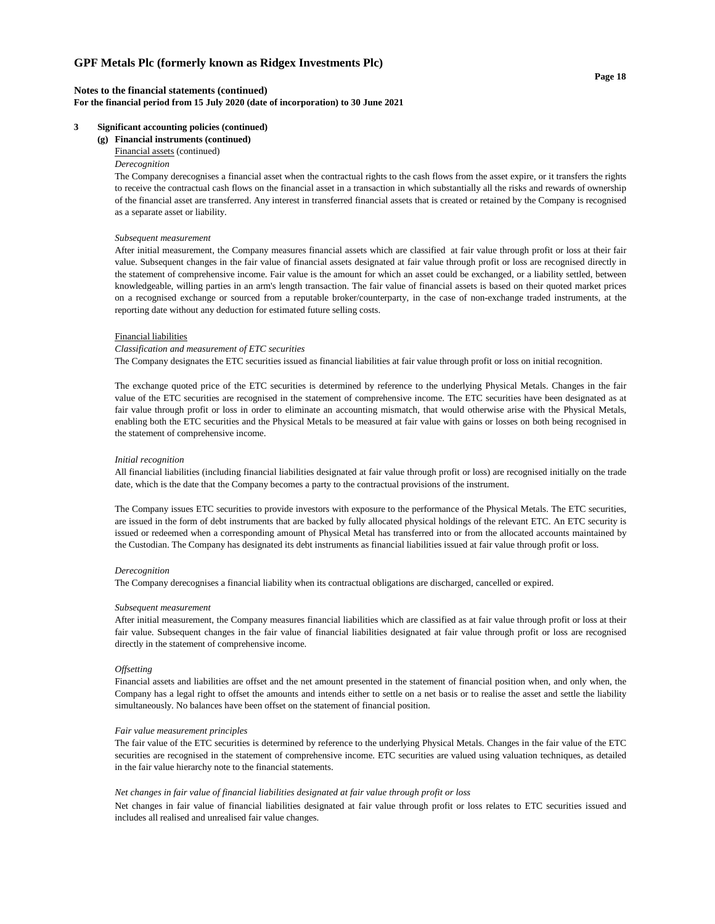#### **Notes to the financial statements (continued) For the financial period from 15 July 2020 (date of incorporation) to 30 June 2021**

#### **3 Significant accounting policies (continued)**

**(g) Financial instruments (continued)**

Financial assets (continued)

#### *Derecognition*

The Company derecognises a financial asset when the contractual rights to the cash flows from the asset expire, or it transfers the rights to receive the contractual cash flows on the financial asset in a transaction in which substantially all the risks and rewards of ownership of the financial asset are transferred. Any interest in transferred financial assets that is created or retained by the Company is recognised as a separate asset or liability.

#### *Subsequent measurement*

After initial measurement, the Company measures financial assets which are classified at fair value through profit or loss at their fair value. Subsequent changes in the fair value of financial assets designated at fair value through profit or loss are recognised directly in the statement of comprehensive income. Fair value is the amount for which an asset could be exchanged, or a liability settled, between knowledgeable, willing parties in an arm's length transaction. The fair value of financial assets is based on their quoted market prices on a recognised exchange or sourced from a reputable broker/counterparty, in the case of non-exchange traded instruments, at the reporting date without any deduction for estimated future selling costs.

#### Financial liabilities

#### *Classification and measurement of ETC securities*

The Company designates the ETC securities issued as financial liabilities at fair value through profit or loss on initial recognition.

The exchange quoted price of the ETC securities is determined by reference to the underlying Physical Metals. Changes in the fair value of the ETC securities are recognised in the statement of comprehensive income. The ETC securities have been designated as at fair value through profit or loss in order to eliminate an accounting mismatch, that would otherwise arise with the Physical Metals, enabling both the ETC securities and the Physical Metals to be measured at fair value with gains or losses on both being recognised in the statement of comprehensive income.

#### *Initial recognition*

All financial liabilities (including financial liabilities designated at fair value through profit or loss) are recognised initially on the trade date, which is the date that the Company becomes a party to the contractual provisions of the instrument.

The Company issues ETC securities to provide investors with exposure to the performance of the Physical Metals. The ETC securities, are issued in the form of debt instruments that are backed by fully allocated physical holdings of the relevant ETC. An ETC security is issued or redeemed when a corresponding amount of Physical Metal has transferred into or from the allocated accounts maintained by the Custodian. The Company has designated its debt instruments as financial liabilities issued at fair value through profit or loss.

#### *Derecognition*

The Company derecognises a financial liability when its contractual obligations are discharged, cancelled or expired.

#### *Subsequent measurement*

After initial measurement, the Company measures financial liabilities which are classified as at fair value through profit or loss at their fair value. Subsequent changes in the fair value of financial liabilities designated at fair value through profit or loss are recognised directly in the statement of comprehensive income.

#### *Offsetting*

Financial assets and liabilities are offset and the net amount presented in the statement of financial position when, and only when, the Company has a legal right to offset the amounts and intends either to settle on a net basis or to realise the asset and settle the liability simultaneously. No balances have been offset on the statement of financial position.

#### *Fair value measurement principles*

The fair value of the ETC securities is determined by reference to the underlying Physical Metals. Changes in the fair value of the ETC securities are recognised in the statement of comprehensive income. ETC securities are valued using valuation techniques, as detailed in the fair value hierarchy note to the financial statements.

#### *Net changes in fair value of financial liabilities designated at fair value through profit or loss*

Net changes in fair value of financial liabilities designated at fair value through profit or loss relates to ETC securities issued and includes all realised and unrealised fair value changes.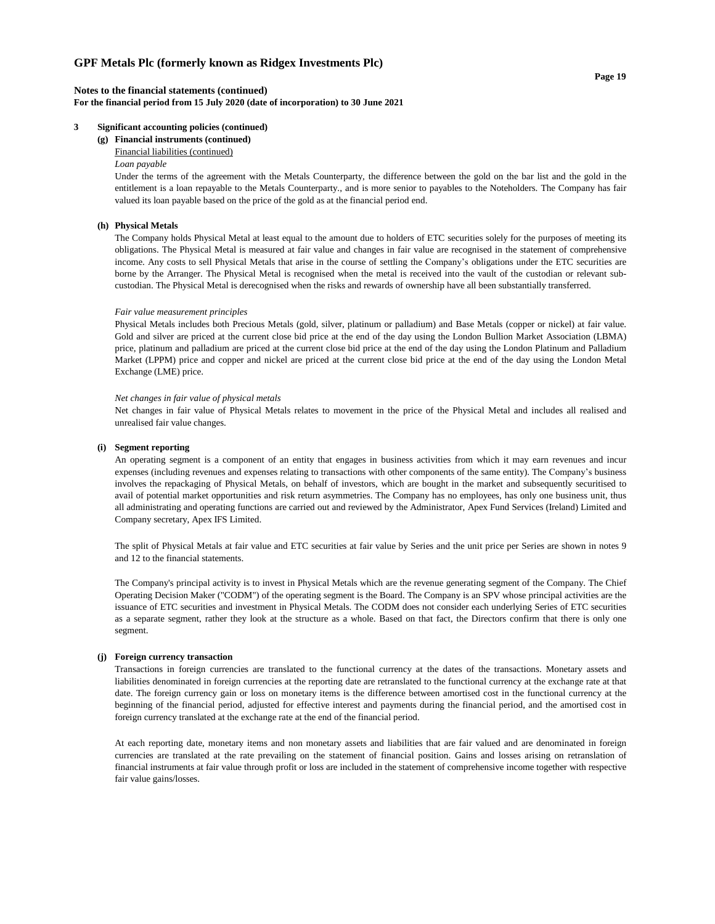#### **Notes to the financial statements (continued) For the financial period from 15 July 2020 (date of incorporation) to 30 June 2021**

#### **3 Significant accounting policies (continued)**

**(g) Financial instruments (continued)**

#### Financial liabilities (continued)

#### *Loan payable*

Under the terms of the agreement with the Metals Counterparty, the difference between the gold on the bar list and the gold in the entitlement is a loan repayable to the Metals Counterparty., and is more senior to payables to the Noteholders. The Company has fair valued its loan payable based on the price of the gold as at the financial period end.

#### **(h) Physical Metals**

The Company holds Physical Metal at least equal to the amount due to holders of ETC securities solely for the purposes of meeting its obligations. The Physical Metal is measured at fair value and changes in fair value are recognised in the statement of comprehensive income. Any costs to sell Physical Metals that arise in the course of settling the Company's obligations under the ETC securities are borne by the Arranger. The Physical Metal is recognised when the metal is received into the vault of the custodian or relevant subcustodian. The Physical Metal is derecognised when the risks and rewards of ownership have all been substantially transferred.

#### *Fair value measurement principles*

Physical Metals includes both Precious Metals (gold, silver, platinum or palladium) and Base Metals (copper or nickel) at fair value. Gold and silver are priced at the current close bid price at the end of the day using the London Bullion Market Association (LBMA) price, platinum and palladium are priced at the current close bid price at the end of the day using the London Platinum and Palladium Market (LPPM) price and copper and nickel are priced at the current close bid price at the end of the day using the London Metal Exchange (LME) price.

#### *Net changes in fair value of physical metals*

Net changes in fair value of Physical Metals relates to movement in the price of the Physical Metal and includes all realised and unrealised fair value changes.

#### **(i) Segment reporting**

An operating segment is a component of an entity that engages in business activities from which it may earn revenues and incur expenses (including revenues and expenses relating to transactions with other components of the same entity). The Company's business involves the repackaging of Physical Metals, on behalf of investors, which are bought in the market and subsequently securitised to avail of potential market opportunities and risk return asymmetries. The Company has no employees, has only one business unit, thus all administrating and operating functions are carried out and reviewed by the Administrator, Apex Fund Services (Ireland) Limited and Company secretary, Apex IFS Limited.

The split of Physical Metals at fair value and ETC securities at fair value by Series and the unit price per Series are shown in notes 9 and 12 to the financial statements.

The Company's principal activity is to invest in Physical Metals which are the revenue generating segment of the Company. The Chief Operating Decision Maker ("CODM") of the operating segment is the Board. The Company is an SPV whose principal activities are the issuance of ETC securities and investment in Physical Metals. The CODM does not consider each underlying Series of ETC securities as a separate segment, rather they look at the structure as a whole. Based on that fact, the Directors confirm that there is only one segment.

#### **(j) Foreign currency transaction**

Transactions in foreign currencies are translated to the functional currency at the dates of the transactions. Monetary assets and liabilities denominated in foreign currencies at the reporting date are retranslated to the functional currency at the exchange rate at that date. The foreign currency gain or loss on monetary items is the difference between amortised cost in the functional currency at the beginning of the financial period, adjusted for effective interest and payments during the financial period, and the amortised cost in foreign currency translated at the exchange rate at the end of the financial period.

At each reporting date, monetary items and non monetary assets and liabilities that are fair valued and are denominated in foreign currencies are translated at the rate prevailing on the statement of financial position. Gains and losses arising on retranslation of financial instruments at fair value through profit or loss are included in the statement of comprehensive income together with respective fair value gains/losses.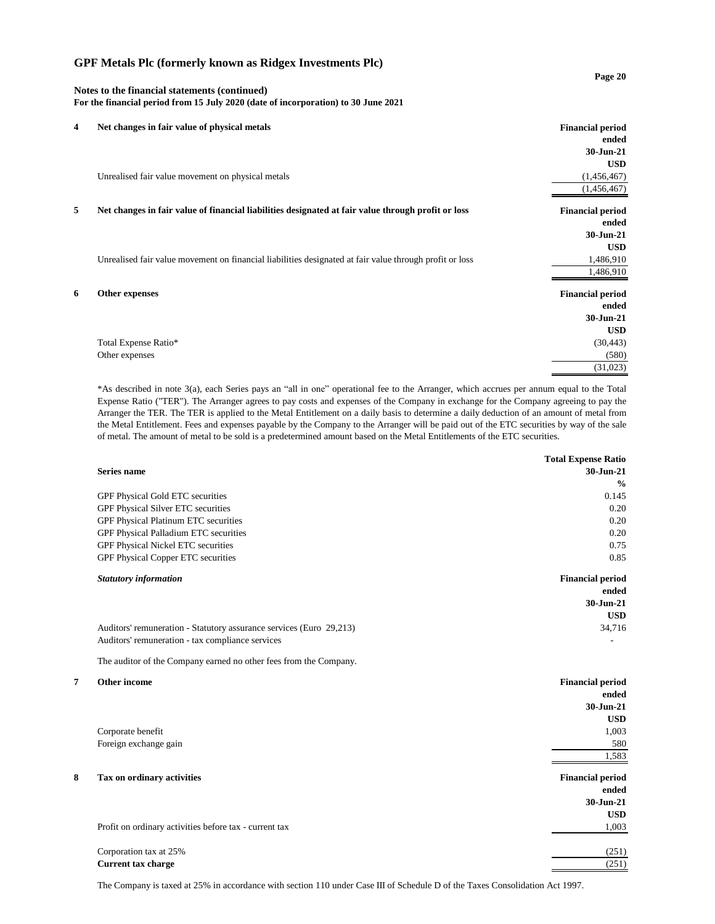#### **Page 20**

## **Notes to the financial statements (continued) For the financial period from 15 July 2020 (date of incorporation) to 30 June 2021**

| 4 | Net changes in fair value of physical metals                                                            | <b>Financial period</b> |
|---|---------------------------------------------------------------------------------------------------------|-------------------------|
|   |                                                                                                         | ended                   |
|   |                                                                                                         | 30-Jun-21               |
|   |                                                                                                         | <b>USD</b>              |
|   | Unrealised fair value movement on physical metals                                                       | (1,456,467)             |
|   |                                                                                                         | (1,456,467)             |
| 5 | Net changes in fair value of financial liabilities designated at fair value through profit or loss      | <b>Financial period</b> |
|   |                                                                                                         | ended                   |
|   |                                                                                                         | 30-Jun-21               |
|   |                                                                                                         | <b>USD</b>              |
|   | Unrealised fair value movement on financial liabilities designated at fair value through profit or loss | 1,486,910               |
|   |                                                                                                         | 1,486,910               |
| 6 | Other expenses                                                                                          | <b>Financial period</b> |
|   |                                                                                                         | ended                   |
|   |                                                                                                         | 30-Jun-21               |
|   |                                                                                                         | <b>USD</b>              |
|   | Total Expense Ratio*                                                                                    | (30, 443)               |
|   | Other expenses                                                                                          | (580)                   |
|   |                                                                                                         | (31,023)                |

\*As described in note 3(a), each Series pays an "all in one" operational fee to the Arranger, which accrues per annum equal to the Total Expense Ratio ("TER"). The Arranger agrees to pay costs and expenses of the Company in exchange for the Company agreeing to pay the Arranger the TER. The TER is applied to the Metal Entitlement on a daily basis to determine a daily deduction of an amount of metal from the Metal Entitlement. Fees and expenses payable by the Company to the Arranger will be paid out of the ETC securities by way of the sale of metal. The amount of metal to be sold is a predetermined amount based on the Metal Entitlements of the ETC securities.

| 30-Jun-21<br><b>Series name</b><br>$\frac{0}{0}$<br>0.145<br>GPF Physical Gold ETC securities<br>GPF Physical Silver ETC securities<br>0.20<br>GPF Physical Platinum ETC securities<br>0.20<br>GPF Physical Palladium ETC securities<br>0.20<br>GPF Physical Nickel ETC securities<br>0.75<br>GPF Physical Copper ETC securities<br>0.85<br><b>Statutory information</b><br><b>Financial period</b><br>ended<br>30-Jun-21<br><b>USD</b><br>Auditors' remuneration - Statutory assurance services (Euro 29,213)<br>34,716<br>Auditors' remuneration - tax compliance services<br>The auditor of the Company earned no other fees from the Company.<br>Other income<br><b>Financial period</b><br>ended<br>30-Jun-21<br><b>USD</b><br>Corporate benefit<br>1,003<br>Foreign exchange gain<br>580<br>1,583<br>Tax on ordinary activities<br><b>Financial period</b><br>ended<br>$30 - Jun-21$<br><b>USD</b><br>Profit on ordinary activities before tax - current tax<br>1,003<br>Corporation tax at 25%<br>(251)<br><b>Current tax charge</b><br>(251) |   | <b>Total Expense Ratio</b> |
|------------------------------------------------------------------------------------------------------------------------------------------------------------------------------------------------------------------------------------------------------------------------------------------------------------------------------------------------------------------------------------------------------------------------------------------------------------------------------------------------------------------------------------------------------------------------------------------------------------------------------------------------------------------------------------------------------------------------------------------------------------------------------------------------------------------------------------------------------------------------------------------------------------------------------------------------------------------------------------------------------------------------------------------------------|---|----------------------------|
|                                                                                                                                                                                                                                                                                                                                                                                                                                                                                                                                                                                                                                                                                                                                                                                                                                                                                                                                                                                                                                                      |   |                            |
|                                                                                                                                                                                                                                                                                                                                                                                                                                                                                                                                                                                                                                                                                                                                                                                                                                                                                                                                                                                                                                                      |   |                            |
|                                                                                                                                                                                                                                                                                                                                                                                                                                                                                                                                                                                                                                                                                                                                                                                                                                                                                                                                                                                                                                                      |   |                            |
|                                                                                                                                                                                                                                                                                                                                                                                                                                                                                                                                                                                                                                                                                                                                                                                                                                                                                                                                                                                                                                                      |   |                            |
|                                                                                                                                                                                                                                                                                                                                                                                                                                                                                                                                                                                                                                                                                                                                                                                                                                                                                                                                                                                                                                                      |   |                            |
|                                                                                                                                                                                                                                                                                                                                                                                                                                                                                                                                                                                                                                                                                                                                                                                                                                                                                                                                                                                                                                                      |   |                            |
|                                                                                                                                                                                                                                                                                                                                                                                                                                                                                                                                                                                                                                                                                                                                                                                                                                                                                                                                                                                                                                                      |   |                            |
|                                                                                                                                                                                                                                                                                                                                                                                                                                                                                                                                                                                                                                                                                                                                                                                                                                                                                                                                                                                                                                                      |   |                            |
|                                                                                                                                                                                                                                                                                                                                                                                                                                                                                                                                                                                                                                                                                                                                                                                                                                                                                                                                                                                                                                                      |   |                            |
|                                                                                                                                                                                                                                                                                                                                                                                                                                                                                                                                                                                                                                                                                                                                                                                                                                                                                                                                                                                                                                                      |   |                            |
|                                                                                                                                                                                                                                                                                                                                                                                                                                                                                                                                                                                                                                                                                                                                                                                                                                                                                                                                                                                                                                                      |   |                            |
|                                                                                                                                                                                                                                                                                                                                                                                                                                                                                                                                                                                                                                                                                                                                                                                                                                                                                                                                                                                                                                                      |   |                            |
|                                                                                                                                                                                                                                                                                                                                                                                                                                                                                                                                                                                                                                                                                                                                                                                                                                                                                                                                                                                                                                                      |   |                            |
|                                                                                                                                                                                                                                                                                                                                                                                                                                                                                                                                                                                                                                                                                                                                                                                                                                                                                                                                                                                                                                                      |   |                            |
|                                                                                                                                                                                                                                                                                                                                                                                                                                                                                                                                                                                                                                                                                                                                                                                                                                                                                                                                                                                                                                                      |   |                            |
|                                                                                                                                                                                                                                                                                                                                                                                                                                                                                                                                                                                                                                                                                                                                                                                                                                                                                                                                                                                                                                                      | 7 |                            |
|                                                                                                                                                                                                                                                                                                                                                                                                                                                                                                                                                                                                                                                                                                                                                                                                                                                                                                                                                                                                                                                      |   |                            |
|                                                                                                                                                                                                                                                                                                                                                                                                                                                                                                                                                                                                                                                                                                                                                                                                                                                                                                                                                                                                                                                      |   |                            |
|                                                                                                                                                                                                                                                                                                                                                                                                                                                                                                                                                                                                                                                                                                                                                                                                                                                                                                                                                                                                                                                      |   |                            |
|                                                                                                                                                                                                                                                                                                                                                                                                                                                                                                                                                                                                                                                                                                                                                                                                                                                                                                                                                                                                                                                      |   |                            |
|                                                                                                                                                                                                                                                                                                                                                                                                                                                                                                                                                                                                                                                                                                                                                                                                                                                                                                                                                                                                                                                      |   |                            |
|                                                                                                                                                                                                                                                                                                                                                                                                                                                                                                                                                                                                                                                                                                                                                                                                                                                                                                                                                                                                                                                      |   |                            |
|                                                                                                                                                                                                                                                                                                                                                                                                                                                                                                                                                                                                                                                                                                                                                                                                                                                                                                                                                                                                                                                      | 8 |                            |
|                                                                                                                                                                                                                                                                                                                                                                                                                                                                                                                                                                                                                                                                                                                                                                                                                                                                                                                                                                                                                                                      |   |                            |
|                                                                                                                                                                                                                                                                                                                                                                                                                                                                                                                                                                                                                                                                                                                                                                                                                                                                                                                                                                                                                                                      |   |                            |
|                                                                                                                                                                                                                                                                                                                                                                                                                                                                                                                                                                                                                                                                                                                                                                                                                                                                                                                                                                                                                                                      |   |                            |
|                                                                                                                                                                                                                                                                                                                                                                                                                                                                                                                                                                                                                                                                                                                                                                                                                                                                                                                                                                                                                                                      |   |                            |
|                                                                                                                                                                                                                                                                                                                                                                                                                                                                                                                                                                                                                                                                                                                                                                                                                                                                                                                                                                                                                                                      |   |                            |
|                                                                                                                                                                                                                                                                                                                                                                                                                                                                                                                                                                                                                                                                                                                                                                                                                                                                                                                                                                                                                                                      |   |                            |

The Company is taxed at 25% in accordance with section 110 under Case III of Schedule D of the Taxes Consolidation Act 1997.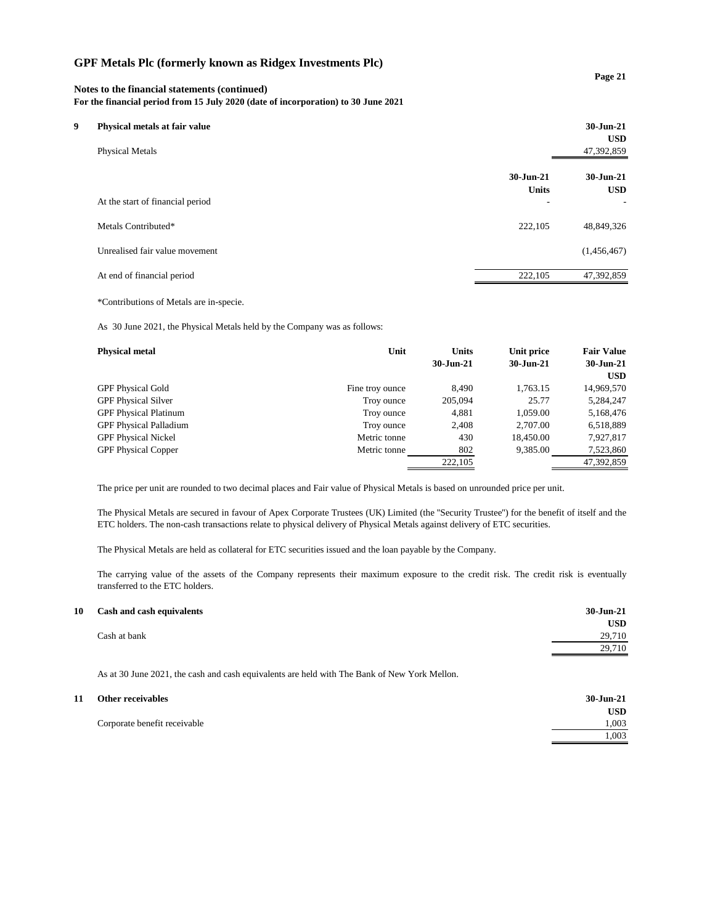### **Notes to the financial statements (continued)**

**For the financial period from 15 July 2020 (date of incorporation) to 30 June 2021**

| Q. | Physical metals at fair value<br><b>Physical Metals</b> |                           | $30 - Jun-21$<br><b>USD</b><br>47,392,859 |
|----|---------------------------------------------------------|---------------------------|-------------------------------------------|
|    |                                                         | 30-Jun-21<br><b>Units</b> | $30 - Jun-21$<br><b>USD</b>               |
|    | At the start of financial period<br>Metals Contributed* | -<br>222,105              | ۰<br>48,849,326                           |
|    | Unrealised fair value movement                          |                           | (1,456,467)                               |
|    | At end of financial period                              | 222,105                   | 47,392,859                                |

\*Contributions of Metals are in-specie.

As 30 June 2021, the Physical Metals held by the Company was as follows:

| <b>Physical metal</b>         | Unit            | <b>Units</b><br>$30$ -Jun-21 | Unit price<br>30-Jun-21 | <b>Fair Value</b><br>$30 - Jun-21$ |
|-------------------------------|-----------------|------------------------------|-------------------------|------------------------------------|
|                               |                 |                              |                         | <b>USD</b>                         |
| <b>GPF Physical Gold</b>      | Fine troy ounce | 8,490                        | 1,763.15                | 14,969,570                         |
| <b>GPF Physical Silver</b>    | Troy ounce      | 205,094                      | 25.77                   | 5,284,247                          |
| <b>GPF Physical Platinum</b>  | Troy ounce      | 4,881                        | 1,059.00                | 5,168,476                          |
| <b>GPF Physical Palladium</b> | Troy ounce      | 2,408                        | 2,707.00                | 6,518,889                          |
| <b>GPF Physical Nickel</b>    | Metric tonne    | 430                          | 18,450.00               | 7,927,817                          |
| <b>GPF Physical Copper</b>    | Metric tonne    | 802                          | 9,385.00                | 7,523,860                          |
|                               |                 | 222,105                      |                         | 47,392,859                         |

The price per unit are rounded to two decimal places and Fair value of Physical Metals is based on unrounded price per unit.

The Physical Metals are secured in favour of Apex Corporate Trustees (UK) Limited (the ''Security Trustee'') for the benefit of itself and the ETC holders. The non-cash transactions relate to physical delivery of Physical Metals against delivery of ETC securities.

The Physical Metals are held as collateral for ETC securities issued and the loan payable by the Company.

The carrying value of the assets of the Company represents their maximum exposure to the credit risk. The credit risk is eventually transferred to the ETC holders.

| 10 Cash and cash equivalents | 30-Jun-21  |
|------------------------------|------------|
|                              | <b>USD</b> |
| Cash at bank                 | 29,710     |
|                              | 29,710     |
|                              |            |

As at 30 June 2021, the cash and cash equivalents are held with The Bank of New York Mellon.

| 11 | Other receivables            | 30-Jun-21  |
|----|------------------------------|------------|
|    |                              | <b>USD</b> |
|    | Corporate benefit receivable | 1,003      |
|    |                              | 1.003      |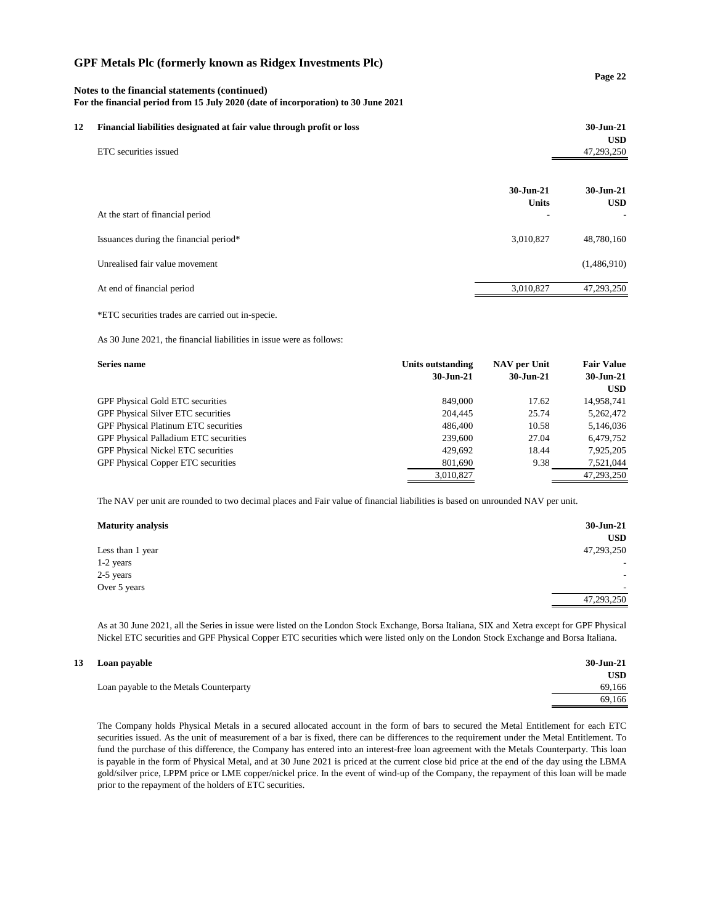| Notes to the financial statements (continued)<br>For the financial period from 15 July 2020 (date of incorporation) to 30 June 2021 |                                                                       |                                 | Page 22                 |
|-------------------------------------------------------------------------------------------------------------------------------------|-----------------------------------------------------------------------|---------------------------------|-------------------------|
| 12                                                                                                                                  | Financial liabilities designated at fair value through profit or loss |                                 | 30-Jun-21<br><b>USD</b> |
|                                                                                                                                     | ETC securities issued                                                 |                                 | 47,293,250              |
|                                                                                                                                     |                                                                       | $30 - Jun - 21$<br><b>Units</b> | 30-Jun-21<br><b>USD</b> |
|                                                                                                                                     | At the start of financial period                                      |                                 |                         |
|                                                                                                                                     | Issuances during the financial period*                                | 3,010,827                       | 48,780,160              |
|                                                                                                                                     | Unrealised fair value movement                                        |                                 | (1,486,910)             |
|                                                                                                                                     | At end of financial period                                            | 3,010,827                       | 47,293,250              |

\*ETC securities trades are carried out in-specie.

As 30 June 2021, the financial liabilities in issue were as follows:

| Series name                                  | Units outstanding<br>$30 - Jun-21$ | NAV per Unit<br>$30 - Jun-21$ | <b>Fair Value</b><br>30-Jun-21<br><b>USD</b> |
|----------------------------------------------|------------------------------------|-------------------------------|----------------------------------------------|
| <b>GPF Physical Gold ETC securities</b>      | 849,000                            | 17.62                         | 14,958,741                                   |
| <b>GPF Physical Silver ETC securities</b>    | 204,445                            | 25.74                         | 5,262,472                                    |
| GPF Physical Platinum ETC securities         | 486,400                            | 10.58                         | 5,146,036                                    |
| <b>GPF Physical Palladium ETC securities</b> | 239,600                            | 27.04                         | 6,479,752                                    |
| <b>GPF Physical Nickel ETC securities</b>    | 429.692                            | 18.44                         | 7,925,205                                    |
| GPF Physical Copper ETC securities           | 801,690                            | 9.38                          | 7,521,044                                    |
|                                              | 3,010,827                          |                               | 47,293,250                                   |

The NAV per unit are rounded to two decimal places and Fair value of financial liabilities is based on unrounded NAV per unit.

| <b>Maturity analysis</b> | 30-Jun-21  |
|--------------------------|------------|
|                          | <b>USD</b> |
| Less than 1 year         | 47,293,250 |
| 1-2 years                | -          |
| 2-5 years                | -          |
| Over 5 years             |            |
|                          | 47,293,250 |

As at 30 June 2021, all the Series in issue were listed on the London Stock Exchange, Borsa Italiana, SIX and Xetra except for GPF Physical Nickel ETC securities and GPF Physical Copper ETC securities which were listed only on the London Stock Exchange and Borsa Italiana.

**USD**

69,166

#### **13 Loan payable 30-Jun-21**

Loan payable to the Metals Counterparty 69,166

The Company holds Physical Metals in a secured allocated account in the form of bars to secured the Metal Entitlement for each ETC securities issued. As the unit of measurement of a bar is fixed, there can be differences to the requirement under the Metal Entitlement. To fund the purchase of this difference, the Company has entered into an interest-free loan agreement with the Metals Counterparty. This loan is payable in the form of Physical Metal, and at 30 June 2021 is priced at the current close bid price at the end of the day using the LBMA gold/silver price, LPPM price or LME copper/nickel price. In the event of wind-up of the Company, the repayment of this loan will be made prior to the repayment of the holders of ETC securities.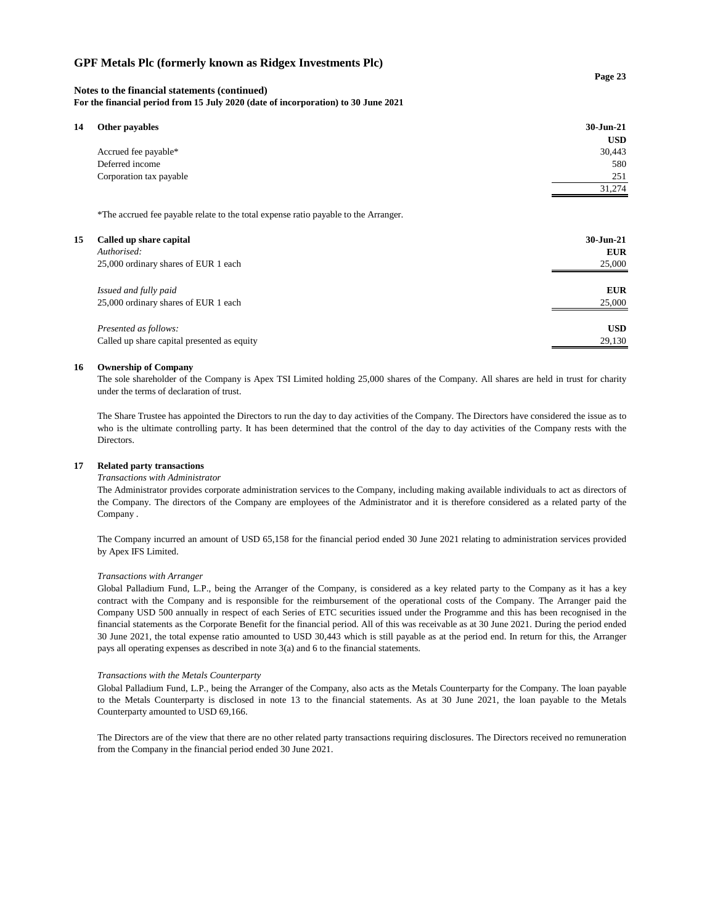#### **Notes to the financial statements (continued)**

**For the financial period from 15 July 2020 (date of incorporation) to 30 June 2021**

| 14<br>Other payables    | 30-Jun-21  |
|-------------------------|------------|
|                         | <b>USD</b> |
| Accrued fee payable*    | 30,443     |
| Deferred income         | 580        |
| Corporation tax payable | 251        |
|                         | 31,274     |

\*The accrued fee payable relate to the total expense ratio payable to the Arranger.

| 15<br>Called up share capital<br>Authorised:<br>25,000 ordinary shares of EUR 1 each | $30$ -Jun-21<br><b>EUR</b><br>25,000 |
|--------------------------------------------------------------------------------------|--------------------------------------|
| Issued and fully paid                                                                | <b>EUR</b>                           |
| 25,000 ordinary shares of EUR 1 each                                                 | 25,000                               |
| Presented as follows:                                                                | <b>USD</b>                           |
| Called up share capital presented as equity                                          | 29,130                               |

#### **16 Ownership of Company**

The sole shareholder of the Company is Apex TSI Limited holding 25,000 shares of the Company. All shares are held in trust for charity under the terms of declaration of trust.

The Share Trustee has appointed the Directors to run the day to day activities of the Company. The Directors have considered the issue as to who is the ultimate controlling party. It has been determined that the control of the day to day activities of the Company rests with the Directors.

#### **17 Related party transactions**

#### *Transactions with Administrator*

The Administrator provides corporate administration services to the Company, including making available individuals to act as directors of the Company. The directors of the Company are employees of the Administrator and it is therefore considered as a related party of the Company .

The Company incurred an amount of USD 65,158 for the financial period ended 30 June 2021 relating to administration services provided by Apex IFS Limited.

#### *Transactions with Arranger*

Global Palladium Fund, L.P., being the Arranger of the Company, is considered as a key related party to the Company as it has a key contract with the Company and is responsible for the reimbursement of the operational costs of the Company. The Arranger paid the Company USD 500 annually in respect of each Series of ETC securities issued under the Programme and this has been recognised in the financial statements as the Corporate Benefit for the financial period. All of this was receivable as at 30 June 2021. During the period ended 30 June 2021, the total expense ratio amounted to USD 30,443 which is still payable as at the period end. In return for this, the Arranger pays all operating expenses as described in note 3(a) and 6 to the financial statements.

#### *Transactions with the Metals Counterparty*

Global Palladium Fund, L.P., being the Arranger of the Company, also acts as the Metals Counterparty for the Company. The loan payable to the Metals Counterparty is disclosed in note 13 to the financial statements. As at 30 June 2021, the loan payable to the Metals Counterparty amounted to USD 69,166.

The Directors are of the view that there are no other related party transactions requiring disclosures. The Directors received no remuneration from the Company in the financial period ended 30 June 2021.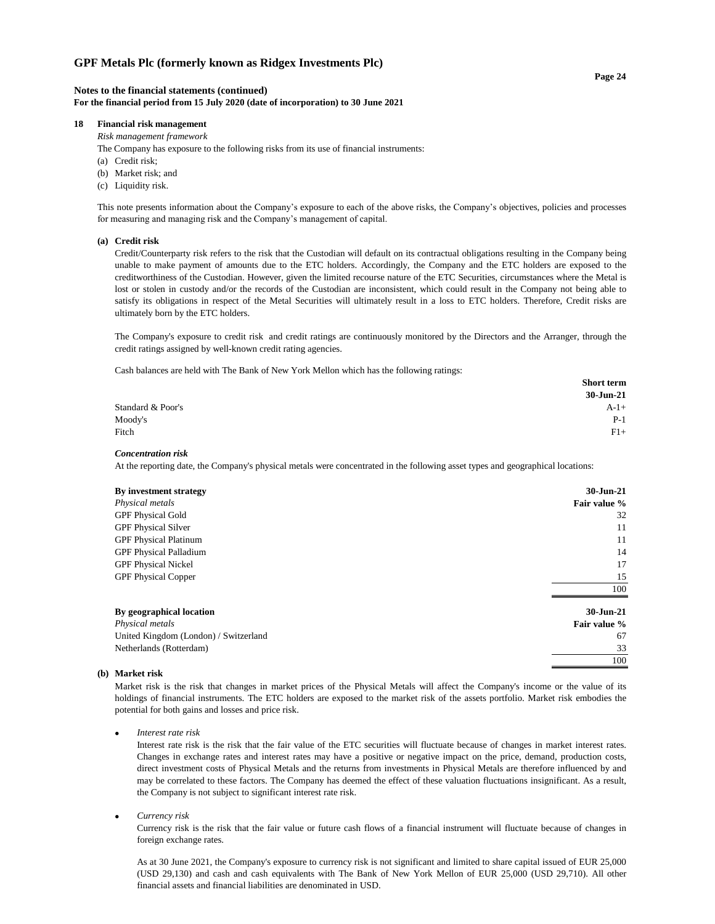#### **Notes to the financial statements (continued) For the financial period from 15 July 2020 (date of incorporation) to 30 June 2021**

#### **18 Financial risk management**

*Risk management framework*

The Company has exposure to the following risks from its use of financial instruments:

- (a) Credit risk;
- (b) Market risk; and
- (c) Liquidity risk.

This note presents information about the Company's exposure to each of the above risks, the Company's objectives, policies and processes for measuring and managing risk and the Company's management of capital.

#### **(a) Credit risk**

Credit/Counterparty risk refers to the risk that the Custodian will default on its contractual obligations resulting in the Company being unable to make payment of amounts due to the ETC holders. Accordingly, the Company and the ETC holders are exposed to the creditworthiness of the Custodian. However, given the limited recourse nature of the ETC Securities, circumstances where the Metal is lost or stolen in custody and/or the records of the Custodian are inconsistent, which could result in the Company not being able to satisfy its obligations in respect of the Metal Securities will ultimately result in a loss to ETC holders. Therefore, Credit risks are ultimately born by the ETC holders.

The Company's exposure to credit risk and credit ratings are continuously monitored by the Directors and the Arranger, through the credit ratings assigned by well-known credit rating agencies.

Cash balances are held with The Bank of New York Mellon which has the following ratings:

|                   | <b>Short term</b> |
|-------------------|-------------------|
|                   | 30-Jun-21         |
| Standard & Poor's | $A-1+$            |
| Moody's           | $P-1$             |
| Fitch             | $F1+$             |
|                   |                   |

#### *Concentration risk*

At the reporting date, the Company's physical metals were concentrated in the following asset types and geographical locations:

| By investment strategy                | $30 - \frac{1}{2}$ |
|---------------------------------------|--------------------|
| Physical metals                       | Fair value %       |
| <b>GPF Physical Gold</b>              | 32                 |
| <b>GPF Physical Silver</b>            | 11                 |
| <b>GPF Physical Platinum</b>          | 11                 |
| <b>GPF Physical Palladium</b>         | 14                 |
| <b>GPF Physical Nickel</b>            | 17                 |
| <b>GPF Physical Copper</b>            | 15                 |
|                                       | 100                |
| By geographical location              | $30 - Jun-21$      |
| Physical metals                       | Fair value %       |
| United Kingdom (London) / Switzerland | 67                 |
| Netherlands (Rotterdam)               | 33                 |
|                                       | 100                |

#### **(b) Market risk**

Market risk is the risk that changes in market prices of the Physical Metals will affect the Company's income or the value of its holdings of financial instruments. The ETC holders are exposed to the market risk of the assets portfolio. Market risk embodies the potential for both gains and losses and price risk.

• *Interest rate risk*

Interest rate risk is the risk that the fair value of the ETC securities will fluctuate because of changes in market interest rates. Changes in exchange rates and interest rates may have a positive or negative impact on the price, demand, production costs, direct investment costs of Physical Metals and the returns from investments in Physical Metals are therefore influenced by and may be correlated to these factors. The Company has deemed the effect of these valuation fluctuations insignificant. As a result, the Company is not subject to significant interest rate risk.

#### • *Currency risk*

Currency risk is the risk that the fair value or future cash flows of a financial instrument will fluctuate because of changes in foreign exchange rates.

As at 30 June 2021, the Company's exposure to currency risk is not significant and limited to share capital issued of EUR 25,000 (USD 29,130) and cash and cash equivalents with The Bank of New York Mellon of EUR 25,000 (USD 29,710). All other financial assets and financial liabilities are denominated in USD.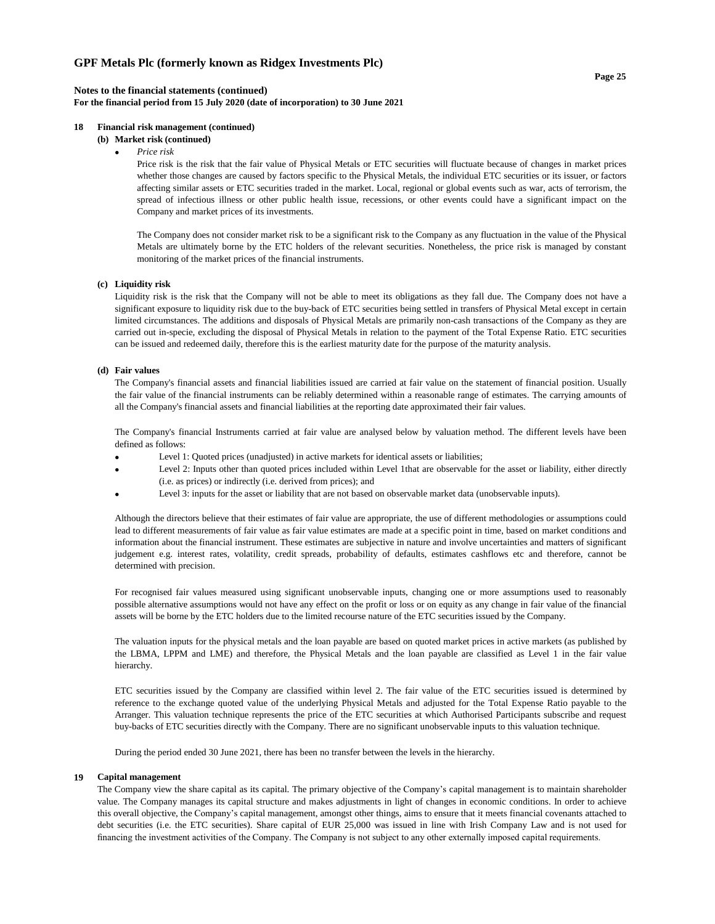#### **Notes to the financial statements (continued) For the financial period from 15 July 2020 (date of incorporation) to 30 June 2021**

#### **18 Financial risk management (continued)**

## **(b) Market risk (continued)**

• *Price risk*

Price risk is the risk that the fair value of Physical Metals or ETC securities will fluctuate because of changes in market prices whether those changes are caused by factors specific to the Physical Metals, the individual ETC securities or its issuer, or factors affecting similar assets or ETC securities traded in the market. Local, regional or global events such as war, acts of terrorism, the spread of infectious illness or other public health issue, recessions, or other events could have a significant impact on the Company and market prices of its investments.

The Company does not consider market risk to be a significant risk to the Company as any fluctuation in the value of the Physical Metals are ultimately borne by the ETC holders of the relevant securities. Nonetheless, the price risk is managed by constant monitoring of the market prices of the financial instruments.

#### **(c) Liquidity risk**

Liquidity risk is the risk that the Company will not be able to meet its obligations as they fall due. The Company does not have a significant exposure to liquidity risk due to the buy-back of ETC securities being settled in transfers of Physical Metal except in certain limited circumstances. The additions and disposals of Physical Metals are primarily non-cash transactions of the Company as they are carried out in-specie, excluding the disposal of Physical Metals in relation to the payment of the Total Expense Ratio. ETC securities can be issued and redeemed daily, therefore this is the earliest maturity date for the purpose of the maturity analysis.

#### **(d) Fair values**

The Company's financial assets and financial liabilities issued are carried at fair value on the statement of financial position. Usually the fair value of the financial instruments can be reliably determined within a reasonable range of estimates. The carrying amounts of all the Company's financial assets and financial liabilities at the reporting date approximated their fair values.

The Company's financial Instruments carried at fair value are analysed below by valuation method. The different levels have been defined as follows:

- Level 1: Quoted prices (unadjusted) in active markets for identical assets or liabilities;
- Level 2: Inputs other than quoted prices included within Level 1that are observable for the asset or liability, either directly (i.e. as prices) or indirectly (i.e. derived from prices); and
- Level 3: inputs for the asset or liability that are not based on observable market data (unobservable inputs).

Although the directors believe that their estimates of fair value are appropriate, the use of different methodologies or assumptions could lead to different measurements of fair value as fair value estimates are made at a specific point in time, based on market conditions and information about the financial instrument. These estimates are subjective in nature and involve uncertainties and matters of significant judgement e.g. interest rates, volatility, credit spreads, probability of defaults, estimates cashflows etc and therefore, cannot be determined with precision.

For recognised fair values measured using significant unobservable inputs, changing one or more assumptions used to reasonably possible alternative assumptions would not have any effect on the profit or loss or on equity as any change in fair value of the financial assets will be borne by the ETC holders due to the limited recourse nature of the ETC securities issued by the Company.

The valuation inputs for the physical metals and the loan payable are based on quoted market prices in active markets (as published by the LBMA, LPPM and LME) and therefore, the Physical Metals and the loan payable are classified as Level 1 in the fair value hierarchy.

ETC securities issued by the Company are classified within level 2. The fair value of the ETC securities issued is determined by reference to the exchange quoted value of the underlying Physical Metals and adjusted for the Total Expense Ratio payable to the Arranger. This valuation technique represents the price of the ETC securities at which Authorised Participants subscribe and request buy-backs of ETC securities directly with the Company. There are no significant unobservable inputs to this valuation technique.

During the period ended 30 June 2021, there has been no transfer between the levels in the hierarchy.

#### **19 Capital management**

The Company view the share capital as its capital. The primary objective of the Company's capital management is to maintain shareholder value. The Company manages its capital structure and makes adjustments in light of changes in economic conditions. In order to achieve this overall objective, the Company's capital management, amongst other things, aims to ensure that it meets financial covenants attached to debt securities (i.e. the ETC securities). Share capital of EUR 25,000 was issued in line with Irish Company Law and is not used for financing the investment activities of the Company. The Company is not subject to any other externally imposed capital requirements.